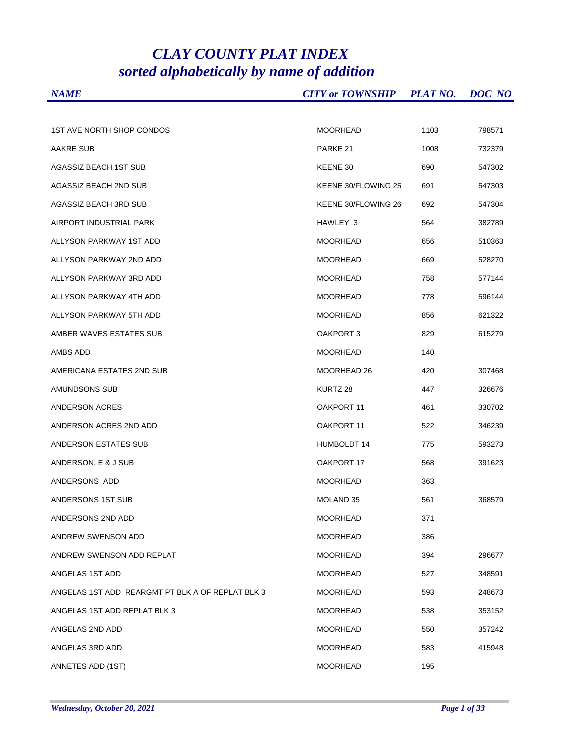## *CLAY COUNTY PLAT INDEX sorted alphabetically by name of addition*

| <b>NAME</b>                                      | <b>CITY or TOWNSHIP</b> | <b>PLAT NO.</b> | DOC NO |
|--------------------------------------------------|-------------------------|-----------------|--------|
|                                                  |                         |                 |        |
| <b>1ST AVE NORTH SHOP CONDOS</b>                 | <b>MOORHEAD</b>         | 1103            | 798571 |
| <b>AAKRE SUB</b>                                 | PARKE 21                | 1008            | 732379 |
| AGASSIZ BEACH 1ST SUB                            | KEENE 30                | 690             | 547302 |
| AGASSIZ BEACH 2ND SUB                            | KEENE 30/FLOWING 25     | 691             | 547303 |
| AGASSIZ BEACH 3RD SUB                            | KEENE 30/FLOWING 26     | 692             | 547304 |
| AIRPORT INDUSTRIAL PARK                          | HAWLEY 3                | 564             | 382789 |
| ALLYSON PARKWAY 1ST ADD                          | <b>MOORHEAD</b>         | 656             | 510363 |
| ALLYSON PARKWAY 2ND ADD                          | <b>MOORHEAD</b>         | 669             | 528270 |
| ALLYSON PARKWAY 3RD ADD                          | <b>MOORHEAD</b>         | 758             | 577144 |
| ALLYSON PARKWAY 4TH ADD                          | <b>MOORHEAD</b>         | 778             | 596144 |
| ALLYSON PARKWAY 5TH ADD                          | <b>MOORHEAD</b>         | 856             | 621322 |
| AMBER WAVES ESTATES SUB                          | OAKPORT 3               | 829             | 615279 |
| AMBS ADD                                         | <b>MOORHEAD</b>         | 140             |        |
| AMERICANA ESTATES 2ND SUB                        | MOORHEAD 26             | 420             | 307468 |
| AMUNDSONS SUB                                    | KURTZ 28                | 447             | 326676 |
| ANDERSON ACRES                                   | OAKPORT 11              | 461             | 330702 |
| ANDERSON ACRES 2ND ADD                           | OAKPORT 11              | 522             | 346239 |
| ANDERSON ESTATES SUB                             | HUMBOLDT 14             | 775             | 593273 |
| ANDERSON, E & J SUB                              | OAKPORT 17              | 568             | 391623 |
| ANDERSONS ADD                                    | <b>MOORHEAD</b>         | 363             |        |
| ANDERSONS 1ST SUB                                | MOLAND 35               | 561             | 368579 |
| ANDERSONS 2ND ADD                                | <b>MOORHEAD</b>         | 371             |        |
| ANDREW SWENSON ADD                               | <b>MOORHEAD</b>         | 386             |        |
| ANDREW SWENSON ADD REPLAT                        | <b>MOORHEAD</b>         | 394             | 296677 |
| ANGELAS 1ST ADD                                  | MOORHEAD                | 527             | 348591 |
| ANGELAS 1ST ADD REARGMT PT BLK A OF REPLAT BLK 3 | MOORHEAD                | 593             | 248673 |
| ANGELAS 1ST ADD REPLAT BLK 3                     | <b>MOORHEAD</b>         | 538             | 353152 |
| ANGELAS 2ND ADD                                  | <b>MOORHEAD</b>         | 550             | 357242 |
| ANGELAS 3RD ADD                                  | <b>MOORHEAD</b>         | 583             | 415948 |
| ANNETES ADD (1ST)                                | MOORHEAD                | 195             |        |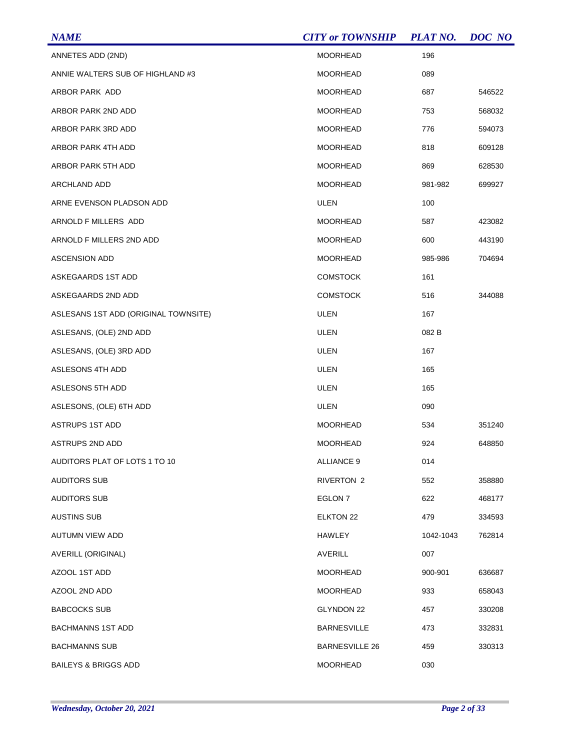| <b>NAME</b>                          | <b>CITY or TOWNSHIP</b> | <b>PLAT NO.</b> | DOC NO |
|--------------------------------------|-------------------------|-----------------|--------|
| ANNETES ADD (2ND)                    | <b>MOORHEAD</b>         | 196             |        |
| ANNIE WALTERS SUB OF HIGHLAND #3     | <b>MOORHEAD</b>         | 089             |        |
| ARBOR PARK ADD                       | <b>MOORHEAD</b>         | 687             | 546522 |
| ARBOR PARK 2ND ADD                   | <b>MOORHEAD</b>         | 753             | 568032 |
| ARBOR PARK 3RD ADD                   | <b>MOORHEAD</b>         | 776             | 594073 |
| <b>ARBOR PARK 4TH ADD</b>            | <b>MOORHEAD</b>         | 818             | 609128 |
| ARBOR PARK 5TH ADD                   | <b>MOORHEAD</b>         | 869             | 628530 |
| ARCHLAND ADD                         | <b>MOORHEAD</b>         | 981-982         | 699927 |
| ARNE EVENSON PLADSON ADD             | <b>ULEN</b>             | 100             |        |
| ARNOLD F MILLERS ADD                 | <b>MOORHEAD</b>         | 587             | 423082 |
| ARNOLD F MILLERS 2ND ADD             | <b>MOORHEAD</b>         | 600             | 443190 |
| <b>ASCENSION ADD</b>                 | <b>MOORHEAD</b>         | 985-986         | 704694 |
| ASKEGAARDS 1ST ADD                   | <b>COMSTOCK</b>         | 161             |        |
| ASKEGAARDS 2ND ADD                   | <b>COMSTOCK</b>         | 516             | 344088 |
| ASLESANS 1ST ADD (ORIGINAL TOWNSITE) | <b>ULEN</b>             | 167             |        |
| ASLESANS, (OLE) 2ND ADD              | <b>ULEN</b>             | 082 B           |        |
| ASLESANS, (OLE) 3RD ADD              | <b>ULEN</b>             | 167             |        |
| ASLESONS 4TH ADD                     | <b>ULEN</b>             | 165             |        |
| ASLESONS 5TH ADD                     | <b>ULEN</b>             | 165             |        |
| ASLESONS, (OLE) 6TH ADD              | <b>ULEN</b>             | 090             |        |
| <b>ASTRUPS 1ST ADD</b>               | <b>MOORHEAD</b>         | 534             | 351240 |
| <b>ASTRUPS 2ND ADD</b>               | <b>MOORHEAD</b>         | 924             | 648850 |
| AUDITORS PLAT OF LOTS 1 TO 10        | <b>ALLIANCE 9</b>       | 014             |        |
| <b>AUDITORS SUB</b>                  | <b>RIVERTON 2</b>       | 552             | 358880 |
| <b>AUDITORS SUB</b>                  | EGLON <sub>7</sub>      | 622             | 468177 |
| <b>AUSTINS SUB</b>                   | ELKTON 22               | 479             | 334593 |
| AUTUMN VIEW ADD                      | <b>HAWLEY</b>           | 1042-1043       | 762814 |
| AVERILL (ORIGINAL)                   | <b>AVERILL</b>          | 007             |        |
| AZOOL 1ST ADD                        | <b>MOORHEAD</b>         | 900-901         | 636687 |
| AZOOL 2ND ADD                        | <b>MOORHEAD</b>         | 933             | 658043 |
| <b>BABCOCKS SUB</b>                  | GLYNDON 22              | 457             | 330208 |
| <b>BACHMANNS 1ST ADD</b>             | <b>BARNESVILLE</b>      | 473             | 332831 |
| <b>BACHMANNS SUB</b>                 | <b>BARNESVILLE 26</b>   | 459             | 330313 |
| <b>BAILEYS &amp; BRIGGS ADD</b>      | <b>MOORHEAD</b>         | 030             |        |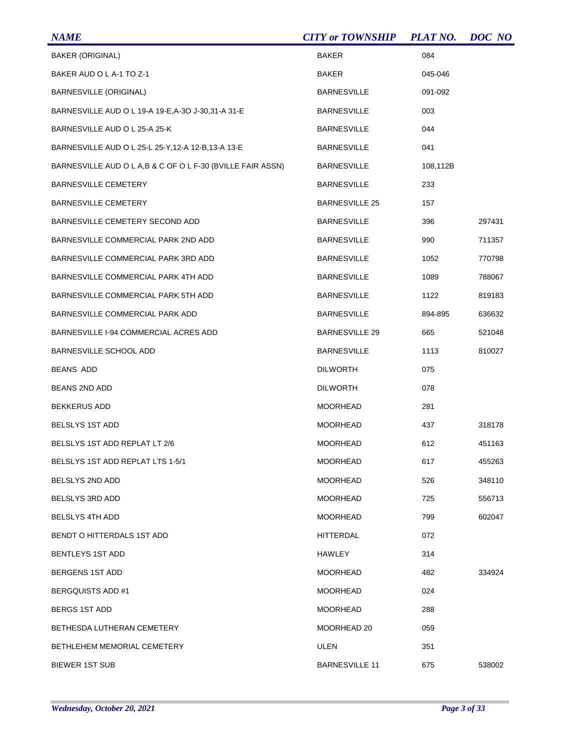| <b>NAME</b>                                                | <b>CITY or TOWNSHIP</b> | <b>PLAT NO.</b> | DOC NO |
|------------------------------------------------------------|-------------------------|-----------------|--------|
| <b>BAKER (ORIGINAL)</b>                                    | <b>BAKER</b>            | 084             |        |
| BAKER AUD O L A-1 TO Z-1                                   | BAKER                   | 045-046         |        |
| <b>BARNESVILLE (ORIGINAL)</b>                              | <b>BARNESVILLE</b>      | 091-092         |        |
| BARNESVILLE AUD O L 19-A 19-E, A-3O J-30, 31-A 31-E        | <b>BARNESVILLE</b>      | 003             |        |
| BARNESVILLE AUD O L 25-A 25-K                              | <b>BARNESVILLE</b>      | 044             |        |
| BARNESVILLE AUD O L 25-L 25-Y, 12-A 12-B, 13-A 13-E        | <b>BARNESVILLE</b>      | 041             |        |
| BARNESVILLE AUD O L A,B & C OF O L F-30 (BVILLE FAIR ASSN) | <b>BARNESVILLE</b>      | 108,112B        |        |
| <b>BARNESVILLE CEMETERY</b>                                | <b>BARNESVILLE</b>      | 233             |        |
| <b>BARNESVILLE CEMETERY</b>                                | <b>BARNESVILLE 25</b>   | 157             |        |
| BARNESVILLE CEMETERY SECOND ADD                            | <b>BARNESVILLE</b>      | 396             | 297431 |
| BARNESVILLE COMMERCIAL PARK 2ND ADD                        | <b>BARNESVILLE</b>      | 990             | 711357 |
| BARNESVILLE COMMERCIAL PARK 3RD ADD                        | <b>BARNESVILLE</b>      | 1052            | 770798 |
| BARNESVILLE COMMERCIAL PARK 4TH ADD                        | <b>BARNESVILLE</b>      | 1089            | 788067 |
| BARNESVILLE COMMERCIAL PARK 5TH ADD                        | <b>BARNESVILLE</b>      | 1122            | 819183 |
| BARNESVILLE COMMERCIAL PARK ADD                            | <b>BARNESVILLE</b>      | 894-895         | 636632 |
| BARNESVILLE I-94 COMMERCIAL ACRES ADD                      | <b>BARNESVILLE 29</b>   | 665             | 521048 |
| BARNESVILLE SCHOOL ADD                                     | <b>BARNESVILLE</b>      | 1113            | 810027 |
| <b>BEANS ADD</b>                                           | <b>DILWORTH</b>         | 075             |        |
| BEANS 2ND ADD                                              | <b>DILWORTH</b>         | 078             |        |
| <b>BEKKERUS ADD</b>                                        | <b>MOORHEAD</b>         | 281             |        |
| <b>BELSLYS 1ST ADD</b>                                     | MOORHEAD                | 437             | 318178 |
| BELSLYS 1ST ADD REPLAT LT 2/6                              | <b>MOORHEAD</b>         | 612             | 451163 |
| BELSLYS 1ST ADD REPLAT LTS 1-5/1                           | <b>MOORHEAD</b>         | 617             | 455263 |
| <b>BELSLYS 2ND ADD</b>                                     | <b>MOORHEAD</b>         | 526             | 348110 |
| BELSLYS 3RD ADD                                            | MOORHEAD                | 725             | 556713 |
| <b>BELSLYS 4TH ADD</b>                                     | <b>MOORHEAD</b>         | 799             | 602047 |
| BENDT O HITTERDALS 1ST ADD                                 | HITTERDAL               | 072             |        |
| <b>BENTLEYS 1ST ADD</b>                                    | <b>HAWLEY</b>           | 314             |        |
| <b>BERGENS 1ST ADD</b>                                     | MOORHEAD                | 482             | 334924 |
| <b>BERGQUISTS ADD #1</b>                                   | MOORHEAD                | 024             |        |
| BERGS 1ST ADD                                              | MOORHEAD                | 288             |        |
| BETHESDA LUTHERAN CEMETERY                                 | MOORHEAD 20             | 059             |        |
| BETHLEHEM MEMORIAL CEMETERY                                | ULEN                    | 351             |        |
| <b>BIEWER 1ST SUB</b>                                      | <b>BARNESVILLE 11</b>   | 675             | 538002 |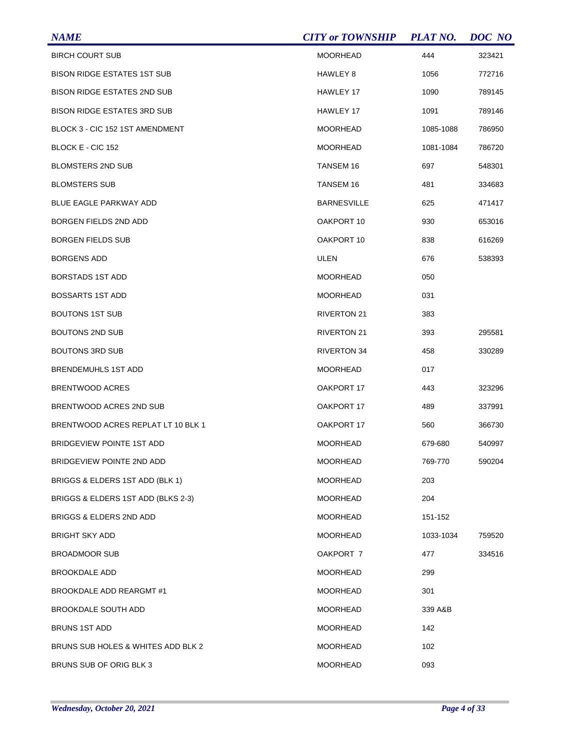| <b>NAME</b>                        | <b>CITY or TOWNSHIP</b> | <b>PLAT NO.</b> | DOC NO |
|------------------------------------|-------------------------|-----------------|--------|
| <b>BIRCH COURT SUB</b>             | <b>MOORHEAD</b>         | 444             | 323421 |
| <b>BISON RIDGE ESTATES 1ST SUB</b> | HAWLEY 8                | 1056            | 772716 |
| <b>BISON RIDGE ESTATES 2ND SUB</b> | HAWLEY 17               | 1090            | 789145 |
| <b>BISON RIDGE ESTATES 3RD SUB</b> | HAWLEY 17               | 1091            | 789146 |
| BLOCK 3 - CIC 152 1ST AMENDMENT    | <b>MOORHEAD</b>         | 1085-1088       | 786950 |
| BLOCK E - CIC 152                  | <b>MOORHEAD</b>         | 1081-1084       | 786720 |
| <b>BLOMSTERS 2ND SUB</b>           | <b>TANSEM 16</b>        | 697             | 548301 |
| <b>BLOMSTERS SUB</b>               | <b>TANSEM 16</b>        | 481             | 334683 |
| BLUE EAGLE PARKWAY ADD             | <b>BARNESVILLE</b>      | 625             | 471417 |
| <b>BORGEN FIELDS 2ND ADD</b>       | OAKPORT 10              | 930             | 653016 |
| <b>BORGEN FIELDS SUB</b>           | OAKPORT 10              | 838             | 616269 |
| <b>BORGENS ADD</b>                 | ULEN                    | 676             | 538393 |
| <b>BORSTADS 1ST ADD</b>            | <b>MOORHEAD</b>         | 050             |        |
| <b>BOSSARTS 1ST ADD</b>            | <b>MOORHEAD</b>         | 031             |        |
| <b>BOUTONS 1ST SUB</b>             | <b>RIVERTON 21</b>      | 383             |        |
| <b>BOUTONS 2ND SUB</b>             | <b>RIVERTON 21</b>      | 393             | 295581 |
| <b>BOUTONS 3RD SUB</b>             | <b>RIVERTON 34</b>      | 458             | 330289 |
| <b>BRENDEMUHLS 1ST ADD</b>         | <b>MOORHEAD</b>         | 017             |        |
| <b>BRENTWOOD ACRES</b>             | OAKPORT 17              | 443             | 323296 |
| BRENTWOOD ACRES 2ND SUB            | OAKPORT 17              | 489             | 337991 |
| BRENTWOOD ACRES REPLAT LT 10 BLK 1 | OAKPORT 17              | 560             | 366730 |
| <b>BRIDGEVIEW POINTE 1ST ADD</b>   | <b>MOORHEAD</b>         | 679-680         | 540997 |
| BRIDGEVIEW POINTE 2ND ADD          | <b>MOORHEAD</b>         | 769-770         | 590204 |
| BRIGGS & ELDERS 1ST ADD (BLK 1)    | <b>MOORHEAD</b>         | 203             |        |
| BRIGGS & ELDERS 1ST ADD (BLKS 2-3) | <b>MOORHEAD</b>         | 204             |        |
| BRIGGS & ELDERS 2ND ADD            | <b>MOORHEAD</b>         | 151-152         |        |
| <b>BRIGHT SKY ADD</b>              | <b>MOORHEAD</b>         | 1033-1034       | 759520 |
| <b>BROADMOOR SUB</b>               | OAKPORT 7               | 477             | 334516 |
| <b>BROOKDALE ADD</b>               | <b>MOORHEAD</b>         | 299             |        |
| BROOKDALE ADD REARGMT #1           | <b>MOORHEAD</b>         | 301             |        |
| <b>BROOKDALE SOUTH ADD</b>         | <b>MOORHEAD</b>         | 339 A&B         |        |
| <b>BRUNS 1ST ADD</b>               | <b>MOORHEAD</b>         | 142             |        |
| BRUNS SUB HOLES & WHITES ADD BLK 2 | <b>MOORHEAD</b>         | 102             |        |
| BRUNS SUB OF ORIG BLK 3            | MOORHEAD                | 093             |        |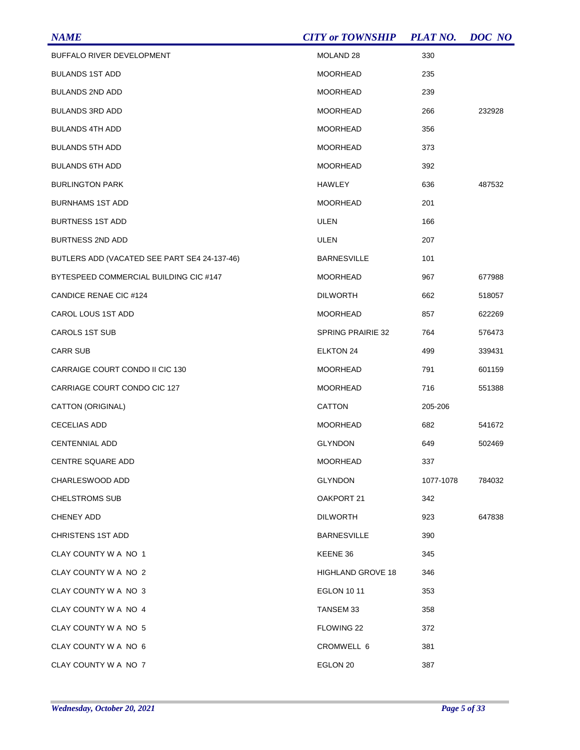| <b>NAME</b>                                  | <b>CITY or TOWNSHIP</b>  | <b>PLAT NO.</b> | DOC NO |
|----------------------------------------------|--------------------------|-----------------|--------|
| BUFFALO RIVER DEVELOPMENT                    | MOLAND <sub>28</sub>     | 330             |        |
| <b>BULANDS 1ST ADD</b>                       | <b>MOORHEAD</b>          | 235             |        |
| <b>BULANDS 2ND ADD</b>                       | <b>MOORHEAD</b>          | 239             |        |
| <b>BULANDS 3RD ADD</b>                       | <b>MOORHEAD</b>          | 266             | 232928 |
| <b>BULANDS 4TH ADD</b>                       | <b>MOORHEAD</b>          | 356             |        |
| <b>BULANDS 5TH ADD</b>                       | <b>MOORHEAD</b>          | 373             |        |
| <b>BULANDS 6TH ADD</b>                       | <b>MOORHEAD</b>          | 392             |        |
| <b>BURLINGTON PARK</b>                       | HAWLEY                   | 636             | 487532 |
| <b>BURNHAMS 1ST ADD</b>                      | <b>MOORHEAD</b>          | 201             |        |
| <b>BURTNESS 1ST ADD</b>                      | ULEN                     | 166             |        |
| <b>BURTNESS 2ND ADD</b>                      | ULEN                     | 207             |        |
| BUTLERS ADD (VACATED SEE PART SE4 24-137-46) | <b>BARNESVILLE</b>       | 101             |        |
| BYTESPEED COMMERCIAL BUILDING CIC #147       | <b>MOORHEAD</b>          | 967             | 677988 |
| CANDICE RENAE CIC #124                       | <b>DILWORTH</b>          | 662             | 518057 |
| CAROL LOUS 1ST ADD                           | <b>MOORHEAD</b>          | 857             | 622269 |
| <b>CAROLS 1ST SUB</b>                        | <b>SPRING PRAIRIE 32</b> | 764             | 576473 |
| <b>CARR SUB</b>                              | <b>ELKTON 24</b>         | 499             | 339431 |
| CARRAIGE COURT CONDO II CIC 130              | <b>MOORHEAD</b>          | 791             | 601159 |
| CARRIAGE COURT CONDO CIC 127                 | <b>MOORHEAD</b>          | 716             | 551388 |
| CATTON (ORIGINAL)                            | <b>CATTON</b>            | 205-206         |        |
| <b>CECELIAS ADD</b>                          | <b>MOORHEAD</b>          | 682             | 541672 |
| <b>CENTENNIAL ADD</b>                        | <b>GLYNDON</b>           | 649             | 502469 |
| CENTRE SQUARE ADD                            | <b>MOORHEAD</b>          | 337             |        |
| CHARLESWOOD ADD                              | <b>GLYNDON</b>           | 1077-1078       | 784032 |
| <b>CHELSTROMS SUB</b>                        | OAKPORT 21               | 342             |        |
| CHENEY ADD                                   | <b>DILWORTH</b>          | 923             | 647838 |
| <b>CHRISTENS 1ST ADD</b>                     | <b>BARNESVILLE</b>       | 390             |        |
| CLAY COUNTY W A NO 1                         | KEENE 36                 | 345             |        |
| CLAY COUNTY W A NO 2                         | <b>HIGHLAND GROVE 18</b> | 346             |        |
| CLAY COUNTY W A NO 3                         | <b>EGLON 10 11</b>       | 353             |        |
| CLAY COUNTY W A NO 4                         | TANSEM 33                | 358             |        |
| CLAY COUNTY W A NO 5                         | FLOWING 22               | 372             |        |
| CLAY COUNTY W A NO 6                         | CROMWELL 6               | 381             |        |
| CLAY COUNTY W A NO 7                         | EGLON 20                 | 387             |        |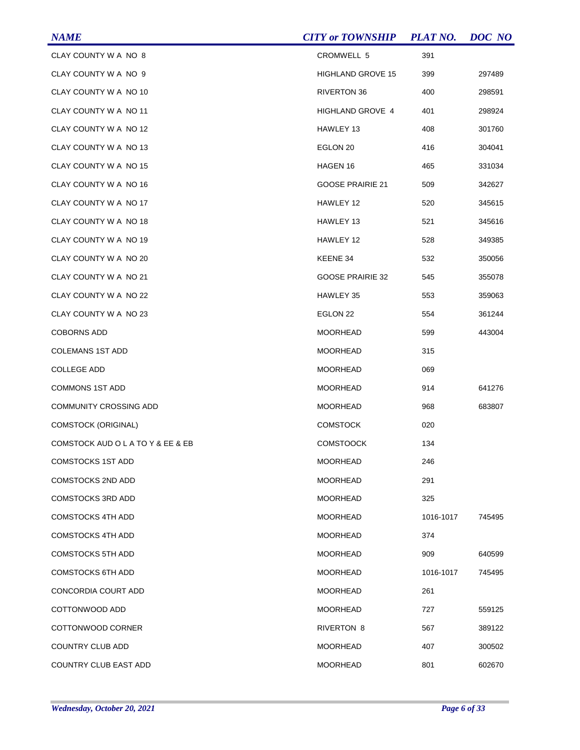| <b>NAME</b>                       | <b>CITY or TOWNSHIP</b>  | <b>PLAT NO.</b> | <b>DOC</b> NO |
|-----------------------------------|--------------------------|-----------------|---------------|
| CLAY COUNTY W A NO 8              | CROMWELL 5               | 391             |               |
| CLAY COUNTY W A NO 9              | <b>HIGHLAND GROVE 15</b> | 399             | 297489        |
| CLAY COUNTY W A NO 10             | <b>RIVERTON 36</b>       | 400             | 298591        |
| CLAY COUNTY W A NO 11             | HIGHLAND GROVE 4         | 401             | 298924        |
| CLAY COUNTY W A NO 12             | HAWLEY 13                | 408             | 301760        |
| CLAY COUNTY W A NO 13             | EGLON 20                 | 416             | 304041        |
| CLAY COUNTY W A NO 15             | HAGEN 16                 | 465             | 331034        |
| CLAY COUNTY W A NO 16             | <b>GOOSE PRAIRIE 21</b>  | 509             | 342627        |
| CLAY COUNTY W A NO 17             | HAWLEY 12                | 520             | 345615        |
| CLAY COUNTY W A NO 18             | HAWLEY 13                | 521             | 345616        |
| CLAY COUNTY W A NO 19             | HAWLEY 12                | 528             | 349385        |
| CLAY COUNTY W A NO 20             | KEENE 34                 | 532             | 350056        |
| CLAY COUNTY W A NO 21             | <b>GOOSE PRAIRIE 32</b>  | 545             | 355078        |
| CLAY COUNTY W A NO 22             | HAWLEY 35                | 553             | 359063        |
| CLAY COUNTY W A NO 23             | EGLON 22                 | 554             | 361244        |
| <b>COBORNS ADD</b>                | <b>MOORHEAD</b>          | 599             | 443004        |
| <b>COLEMANS 1ST ADD</b>           | <b>MOORHEAD</b>          | 315             |               |
| <b>COLLEGE ADD</b>                | <b>MOORHEAD</b>          | 069             |               |
| <b>COMMONS 1ST ADD</b>            | <b>MOORHEAD</b>          | 914             | 641276        |
| <b>COMMUNITY CROSSING ADD</b>     | <b>MOORHEAD</b>          | 968             | 683807        |
| <b>COMSTOCK (ORIGINAL)</b>        | <b>COMSTOCK</b>          | 020             |               |
| COMSTOCK AUD O L A TO Y & EE & EB | <b>COMSTOOCK</b>         | 134             |               |
| <b>COMSTOCKS 1ST ADD</b>          | <b>MOORHEAD</b>          | 246             |               |
| <b>COMSTOCKS 2ND ADD</b>          | <b>MOORHEAD</b>          | 291             |               |
| <b>COMSTOCKS 3RD ADD</b>          | <b>MOORHEAD</b>          | 325             |               |
| <b>COMSTOCKS 4TH ADD</b>          | <b>MOORHEAD</b>          | 1016-1017       | 745495        |
| <b>COMSTOCKS 4TH ADD</b>          | <b>MOORHEAD</b>          | 374             |               |
| <b>COMSTOCKS 5TH ADD</b>          | <b>MOORHEAD</b>          | 909             | 640599        |
| <b>COMSTOCKS 6TH ADD</b>          | <b>MOORHEAD</b>          | 1016-1017       | 745495        |
| CONCORDIA COURT ADD               | <b>MOORHEAD</b>          | 261             |               |
| COTTONWOOD ADD                    | <b>MOORHEAD</b>          | 727             | 559125        |
| COTTONWOOD CORNER                 | <b>RIVERTON 8</b>        | 567             | 389122        |
| COUNTRY CLUB ADD                  | MOORHEAD                 | 407             | 300502        |
| <b>COUNTRY CLUB EAST ADD</b>      | <b>MOORHEAD</b>          | 801             | 602670        |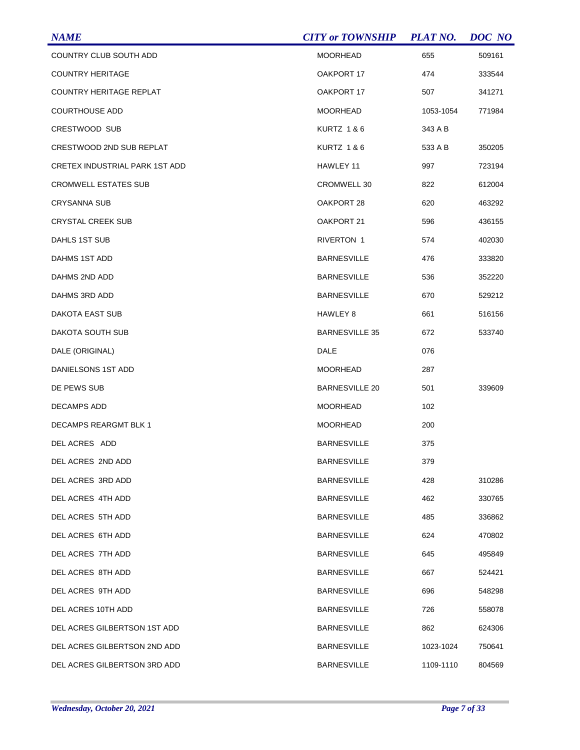| <b>NAME</b>                    | <b>CITY or TOWNSHIP</b> | <b>PLAT NO.</b> | DOC NO |
|--------------------------------|-------------------------|-----------------|--------|
| COUNTRY CLUB SOUTH ADD         | <b>MOORHEAD</b>         | 655             | 509161 |
| <b>COUNTRY HERITAGE</b>        | OAKPORT 17              | 474             | 333544 |
| <b>COUNTRY HERITAGE REPLAT</b> | OAKPORT 17              | 507             | 341271 |
| <b>COURTHOUSE ADD</b>          | <b>MOORHEAD</b>         | 1053-1054       | 771984 |
| CRESTWOOD SUB                  | KURTZ 1&6               | 343 A B         |        |
| CRESTWOOD 2ND SUB REPLAT       | KURTZ 1 & 6             | 533 A B         | 350205 |
| CRETEX INDUSTRIAL PARK 1ST ADD | HAWLEY 11               | 997             | 723194 |
| <b>CROMWELL ESTATES SUB</b>    | CROMWELL 30             | 822             | 612004 |
| <b>CRYSANNA SUB</b>            | OAKPORT 28              | 620             | 463292 |
| <b>CRYSTAL CREEK SUB</b>       | OAKPORT 21              | 596             | 436155 |
| DAHLS 1ST SUB                  | RIVERTON 1              | 574             | 402030 |
| DAHMS 1ST ADD                  | <b>BARNESVILLE</b>      | 476             | 333820 |
| DAHMS 2ND ADD                  | <b>BARNESVILLE</b>      | 536             | 352220 |
| DAHMS 3RD ADD                  | <b>BARNESVILLE</b>      | 670             | 529212 |
| DAKOTA EAST SUB                | HAWLEY 8                | 661             | 516156 |
| DAKOTA SOUTH SUB               | <b>BARNESVILLE 35</b>   | 672             | 533740 |
| DALE (ORIGINAL)                | DALE                    | 076             |        |
| DANIELSONS 1ST ADD             | <b>MOORHEAD</b>         | 287             |        |
| DE PEWS SUB                    | <b>BARNESVILLE 20</b>   | 501             | 339609 |
| <b>DECAMPS ADD</b>             | <b>MOORHEAD</b>         | 102             |        |
| DECAMPS REARGMT BLK 1          | <b>MOORHEAD</b>         | 200             |        |
| DEL ACRES ADD                  | <b>BARNESVILLE</b>      | 375             |        |
| DEL ACRES 2ND ADD              | <b>BARNESVILLE</b>      | 379             |        |
| DEL ACRES 3RD ADD              | <b>BARNESVILLE</b>      | 428             | 310286 |
| DEL ACRES 4TH ADD              | <b>BARNESVILLE</b>      | 462             | 330765 |
| DEL ACRES 5TH ADD              | <b>BARNESVILLE</b>      | 485             | 336862 |
| DEL ACRES 6TH ADD              | <b>BARNESVILLE</b>      | 624             | 470802 |
| DEL ACRES 7TH ADD              | <b>BARNESVILLE</b>      | 645             | 495849 |
| DEL ACRES 8TH ADD              | <b>BARNESVILLE</b>      | 667             | 524421 |
| DEL ACRES 9TH ADD              | <b>BARNESVILLE</b>      | 696             | 548298 |
| DEL ACRES 10TH ADD             | <b>BARNESVILLE</b>      | 726             | 558078 |
| DEL ACRES GILBERTSON 1ST ADD   | <b>BARNESVILLE</b>      | 862             | 624306 |
| DEL ACRES GILBERTSON 2ND ADD   | <b>BARNESVILLE</b>      | 1023-1024       | 750641 |
| DEL ACRES GILBERTSON 3RD ADD   | <b>BARNESVILLE</b>      | 1109-1110       | 804569 |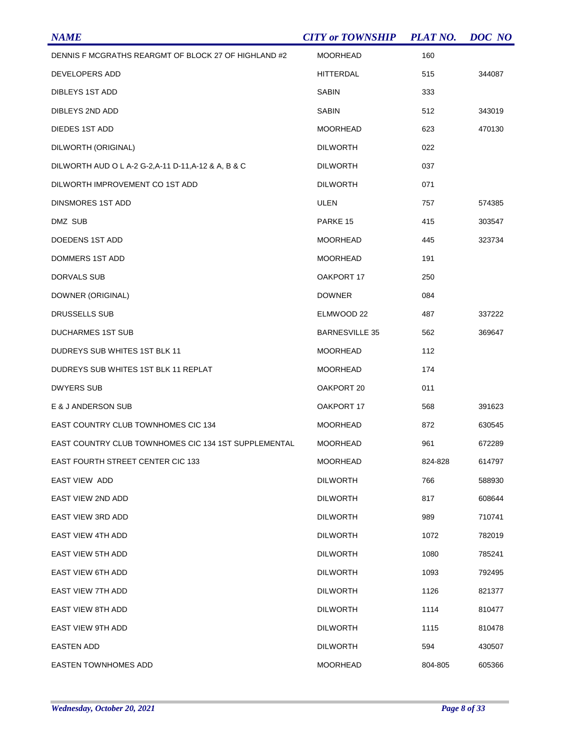| <b>NAME</b>                                          | <b>CITY or TOWNSHIP</b> | <b>PLAT NO.</b> | DOC NO |
|------------------------------------------------------|-------------------------|-----------------|--------|
| DENNIS F MCGRATHS REARGMT OF BLOCK 27 OF HIGHLAND #2 | <b>MOORHEAD</b>         | 160             |        |
| DEVELOPERS ADD                                       | HITTERDAL               | 515             | 344087 |
| DIBLEYS 1ST ADD                                      | <b>SABIN</b>            | 333             |        |
| DIBLEYS 2ND ADD                                      | <b>SABIN</b>            | 512             | 343019 |
| <b>DIEDES 1ST ADD</b>                                | <b>MOORHEAD</b>         | 623             | 470130 |
| DILWORTH (ORIGINAL)                                  | <b>DILWORTH</b>         | 022             |        |
| DILWORTH AUD O L A-2 G-2, A-11 D-11, A-12 & A, B & C | <b>DILWORTH</b>         | 037             |        |
| DILWORTH IMPROVEMENT CO 1ST ADD                      | <b>DILWORTH</b>         | 071             |        |
| DINSMORES 1ST ADD                                    | ULEN                    | 757             | 574385 |
| DMZ SUB                                              | PARKE 15                | 415             | 303547 |
| DOEDENS 1ST ADD                                      | <b>MOORHEAD</b>         | 445             | 323734 |
| <b>DOMMERS 1ST ADD</b>                               | <b>MOORHEAD</b>         | 191             |        |
| DORVALS SUB                                          | OAKPORT 17              | 250             |        |
| DOWNER (ORIGINAL)                                    | <b>DOWNER</b>           | 084             |        |
| DRUSSELLS SUB                                        | ELMWOOD 22              | 487             | 337222 |
| <b>DUCHARMES 1ST SUB</b>                             | <b>BARNESVILLE 35</b>   | 562             | 369647 |
| DUDREYS SUB WHITES 1ST BLK 11                        | <b>MOORHEAD</b>         | 112             |        |
| DUDREYS SUB WHITES 1ST BLK 11 REPLAT                 | <b>MOORHEAD</b>         | 174             |        |
| <b>DWYERS SUB</b>                                    | OAKPORT 20              | 011             |        |
| E & J ANDERSON SUB                                   | OAKPORT 17              | 568             | 391623 |
| <b>EAST COUNTRY CLUB TOWNHOMES CIC 134</b>           | <b>MOORHEAD</b>         | 872             | 630545 |
| EAST COUNTRY CLUB TOWNHOMES CIC 134 1ST SUPPLEMENTAL | <b>MOORHEAD</b>         | 961             | 672289 |
| <b>EAST FOURTH STREET CENTER CIC 133</b>             | <b>MOORHEAD</b>         | 824-828         | 614797 |
| EAST VIEW ADD                                        | <b>DILWORTH</b>         | 766             | 588930 |
| EAST VIEW 2ND ADD                                    | <b>DILWORTH</b>         | 817             | 608644 |
| EAST VIEW 3RD ADD                                    | <b>DILWORTH</b>         | 989             | 710741 |
| <b>EAST VIEW 4TH ADD</b>                             | <b>DILWORTH</b>         | 1072            | 782019 |
| <b>EAST VIEW 5TH ADD</b>                             | <b>DILWORTH</b>         | 1080            | 785241 |
| <b>EAST VIEW 6TH ADD</b>                             | <b>DILWORTH</b>         | 1093            | 792495 |
| EAST VIEW 7TH ADD                                    | <b>DILWORTH</b>         | 1126            | 821377 |
| <b>EAST VIEW 8TH ADD</b>                             | <b>DILWORTH</b>         | 1114            | 810477 |
| EAST VIEW 9TH ADD                                    | <b>DILWORTH</b>         | 1115            | 810478 |
| EASTEN ADD                                           | <b>DILWORTH</b>         | 594             | 430507 |
| <b>EASTEN TOWNHOMES ADD</b>                          | <b>MOORHEAD</b>         | 804-805         | 605366 |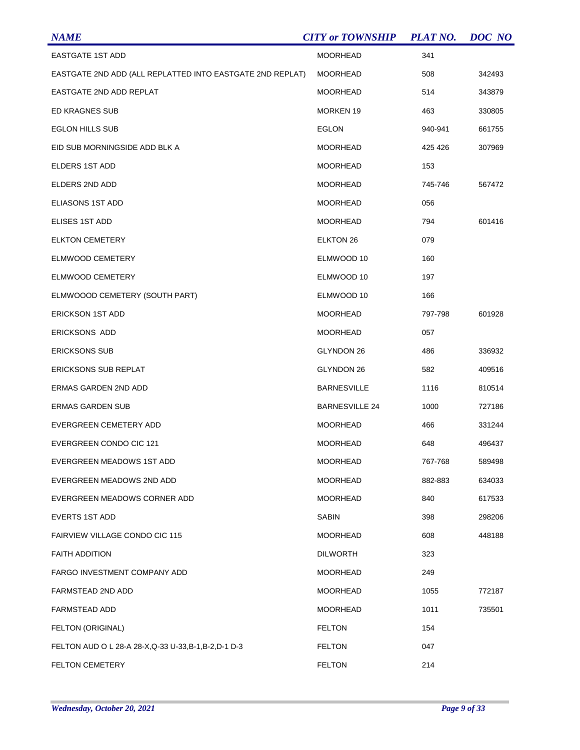| <b>NAME</b>                                               | <b>CITY or TOWNSHIP</b> | <b>PLAT NO.</b> | <b>DOC</b> NO |
|-----------------------------------------------------------|-------------------------|-----------------|---------------|
| <b>EASTGATE 1ST ADD</b>                                   | <b>MOORHEAD</b>         | 341             |               |
| EASTGATE 2ND ADD (ALL REPLATTED INTO EASTGATE 2ND REPLAT) | <b>MOORHEAD</b>         | 508             | 342493        |
| EASTGATE 2ND ADD REPLAT                                   | <b>MOORHEAD</b>         | 514             | 343879        |
| <b>ED KRAGNES SUB</b>                                     | <b>MORKEN 19</b>        | 463             | 330805        |
| <b>EGLON HILLS SUB</b>                                    | <b>EGLON</b>            | 940-941         | 661755        |
| EID SUB MORNINGSIDE ADD BLK A                             | <b>MOORHEAD</b>         | 425 426         | 307969        |
| <b>ELDERS 1ST ADD</b>                                     | <b>MOORHEAD</b>         | 153             |               |
| ELDERS 2ND ADD                                            | MOORHEAD                | 745-746         | 567472        |
| ELIASONS 1ST ADD                                          | <b>MOORHEAD</b>         | 056             |               |
| ELISES 1ST ADD                                            | <b>MOORHEAD</b>         | 794             | 601416        |
| <b>ELKTON CEMETERY</b>                                    | <b>ELKTON 26</b>        | 079             |               |
| ELMWOOD CEMETERY                                          | ELMWOOD 10              | 160             |               |
| ELMWOOD CEMETERY                                          | ELMWOOD 10              | 197             |               |
| ELMWOOOD CEMETERY (SOUTH PART)                            | ELMWOOD 10              | 166             |               |
| <b>ERICKSON 1ST ADD</b>                                   | <b>MOORHEAD</b>         | 797-798         | 601928        |
| <b>ERICKSONS ADD</b>                                      | <b>MOORHEAD</b>         | 057             |               |
| <b>ERICKSONS SUB</b>                                      | GLYNDON 26              | 486             | 336932        |
| <b>ERICKSONS SUB REPLAT</b>                               | GLYNDON 26              | 582             | 409516        |
| ERMAS GARDEN 2ND ADD                                      | <b>BARNESVILLE</b>      | 1116            | 810514        |
| <b>ERMAS GARDEN SUB</b>                                   | <b>BARNESVILLE 24</b>   | 1000            | 727186        |
| EVERGREEN CEMETERY ADD                                    | <b>MOORHEAD</b>         | 466             | 331244        |
| EVERGREEN CONDO CIC 121                                   | <b>MOORHEAD</b>         | 648             | 496437        |
| EVERGREEN MEADOWS 1ST ADD                                 | <b>MOORHEAD</b>         | 767-768         | 589498        |
| EVERGREEN MEADOWS 2ND ADD                                 | <b>MOORHEAD</b>         | 882-883         | 634033        |
| EVERGREEN MEADOWS CORNER ADD                              | <b>MOORHEAD</b>         | 840             | 617533        |
| <b>EVERTS 1ST ADD</b>                                     | <b>SABIN</b>            | 398             | 298206        |
| <b>FAIRVIEW VILLAGE CONDO CIC 115</b>                     | <b>MOORHEAD</b>         | 608             | 448188        |
| <b>FAITH ADDITION</b>                                     | <b>DILWORTH</b>         | 323             |               |
| FARGO INVESTMENT COMPANY ADD                              | <b>MOORHEAD</b>         | 249             |               |
| FARMSTEAD 2ND ADD                                         | <b>MOORHEAD</b>         | 1055            | 772187        |
| <b>FARMSTEAD ADD</b>                                      | <b>MOORHEAD</b>         | 1011            | 735501        |
| FELTON (ORIGINAL)                                         | <b>FELTON</b>           | 154             |               |
| FELTON AUD O L 28-A 28-X, Q-33 U-33, B-1, B-2, D-1 D-3    | <b>FELTON</b>           | 047             |               |
| FELTON CEMETERY                                           | <b>FELTON</b>           | 214             |               |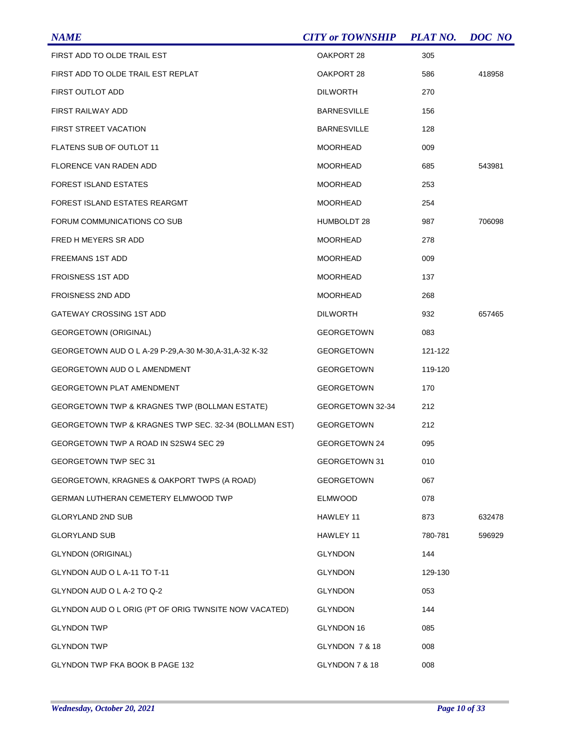| <b>NAME</b>                                              | <b>CITY or TOWNSHIP</b> | <b>PLAT NO.</b> | DOC NO |
|----------------------------------------------------------|-------------------------|-----------------|--------|
| FIRST ADD TO OLDE TRAIL EST                              | OAKPORT 28              | 305             |        |
| FIRST ADD TO OLDE TRAIL EST REPLAT                       | OAKPORT 28              | 586             | 418958 |
| FIRST OUTLOT ADD                                         | <b>DILWORTH</b>         | 270             |        |
| FIRST RAILWAY ADD                                        | <b>BARNESVILLE</b>      | 156             |        |
| FIRST STREET VACATION                                    | <b>BARNESVILLE</b>      | 128             |        |
| FLATENS SUB OF OUTLOT 11                                 | <b>MOORHEAD</b>         | 009             |        |
| <b>FLORENCE VAN RADEN ADD</b>                            | <b>MOORHEAD</b>         | 685             | 543981 |
| FOREST ISLAND ESTATES                                    | <b>MOORHEAD</b>         | 253             |        |
| FOREST ISLAND ESTATES REARGMT                            | <b>MOORHEAD</b>         | 254             |        |
| FORUM COMMUNICATIONS CO SUB                              | HUMBOLDT 28             | 987             | 706098 |
| FRED H MEYERS SR ADD                                     | <b>MOORHEAD</b>         | 278             |        |
| FREEMANS 1ST ADD                                         | <b>MOORHEAD</b>         | 009             |        |
| <b>FROISNESS 1ST ADD</b>                                 | <b>MOORHEAD</b>         | 137             |        |
| <b>FROISNESS 2ND ADD</b>                                 | <b>MOORHEAD</b>         | 268             |        |
| GATEWAY CROSSING 1ST ADD                                 | <b>DILWORTH</b>         | 932             | 657465 |
| <b>GEORGETOWN (ORIGINAL)</b>                             | <b>GEORGETOWN</b>       | 083             |        |
| GEORGETOWN AUD O L A-29 P-29, A-30 M-30, A-31, A-32 K-32 | <b>GEORGETOWN</b>       | 121-122         |        |
| <b>GEORGETOWN AUD O L AMENDMENT</b>                      | <b>GEORGETOWN</b>       | 119-120         |        |
| <b>GEORGETOWN PLAT AMENDMENT</b>                         | <b>GEORGETOWN</b>       | 170             |        |
| GEORGETOWN TWP & KRAGNES TWP (BOLLMAN ESTATE)            | GEORGETOWN 32-34        | 212             |        |
| GEORGETOWN TWP & KRAGNES TWP SEC. 32-34 (BOLLMAN EST)    | <b>GEORGETOWN</b>       | 212             |        |
| GEORGETOWN TWP A ROAD IN S2SW4 SEC 29                    | GEORGETOWN 24           | 095             |        |
| GEORGETOWN TWP SEC 31                                    | <b>GEORGETOWN 31</b>    | 010             |        |
| GEORGETOWN, KRAGNES & OAKPORT TWPS (A ROAD)              | <b>GEORGETOWN</b>       | 067             |        |
| <b>GERMAN LUTHERAN CEMETERY ELMWOOD TWP</b>              | <b>ELMWOOD</b>          | 078             |        |
| <b>GLORYLAND 2ND SUB</b>                                 | HAWLEY 11               | 873             | 632478 |
| <b>GLORYLAND SUB</b>                                     | HAWLEY 11               | 780-781         | 596929 |
| <b>GLYNDON (ORIGINAL)</b>                                | <b>GLYNDON</b>          | 144             |        |
| GLYNDON AUD O L A-11 TO T-11                             | <b>GLYNDON</b>          | 129-130         |        |
| GLYNDON AUD O L A-2 TO Q-2                               | <b>GLYNDON</b>          | 053             |        |
| GLYNDON AUD O L ORIG (PT OF ORIG TWNSITE NOW VACATED)    | <b>GLYNDON</b>          | 144             |        |
| <b>GLYNDON TWP</b>                                       | GLYNDON 16              | 085             |        |
| <b>GLYNDON TWP</b>                                       | GLYNDON 7 & 18          | 008             |        |
| GLYNDON TWP FKA BOOK B PAGE 132                          | GLYNDON 7 & 18          | 008             |        |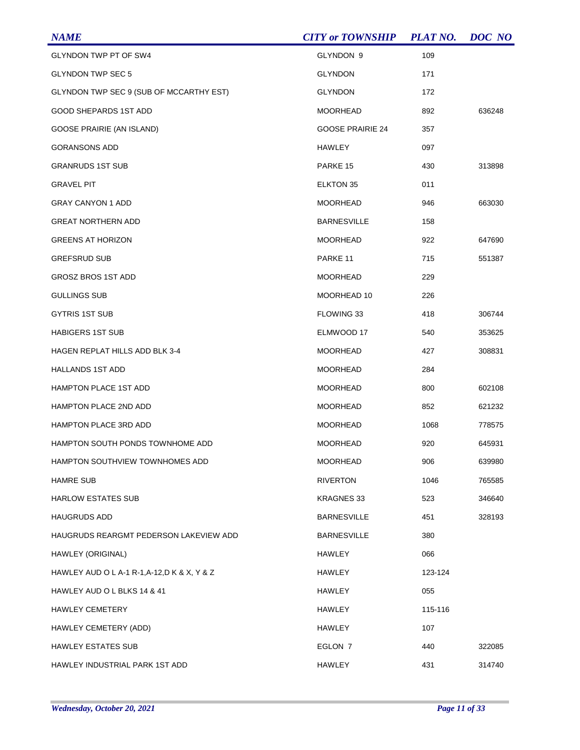| <b>NAME</b>                                  | <b>CITY or TOWNSHIP</b> | <b>PLAT NO.</b> | DOC NO |
|----------------------------------------------|-------------------------|-----------------|--------|
| GLYNDON TWP PT OF SW4                        | GLYNDON 9               | 109             |        |
| <b>GLYNDON TWP SEC 5</b>                     | <b>GLYNDON</b>          | 171             |        |
| GLYNDON TWP SEC 9 (SUB OF MCCARTHY EST)      | <b>GLYNDON</b>          | 172             |        |
| GOOD SHEPARDS 1ST ADD                        | <b>MOORHEAD</b>         | 892             | 636248 |
| GOOSE PRAIRIE (AN ISLAND)                    | <b>GOOSE PRAIRIE 24</b> | 357             |        |
| <b>GORANSONS ADD</b>                         | HAWLEY                  | 097             |        |
| <b>GRANRUDS 1ST SUB</b>                      | PARKE 15                | 430             | 313898 |
| <b>GRAVEL PIT</b>                            | ELKTON 35               | 011             |        |
| <b>GRAY CANYON 1 ADD</b>                     | <b>MOORHEAD</b>         | 946             | 663030 |
| <b>GREAT NORTHERN ADD</b>                    | <b>BARNESVILLE</b>      | 158             |        |
| <b>GREENS AT HORIZON</b>                     | <b>MOORHEAD</b>         | 922             | 647690 |
| <b>GREFSRUD SUB</b>                          | PARKE <sub>11</sub>     | 715             | 551387 |
| <b>GROSZ BROS 1ST ADD</b>                    | <b>MOORHEAD</b>         | 229             |        |
| <b>GULLINGS SUB</b>                          | MOORHEAD 10             | 226             |        |
| <b>GYTRIS 1ST SUB</b>                        | FLOWING 33              | 418             | 306744 |
| <b>HABIGERS 1ST SUB</b>                      | ELMWOOD 17              | 540             | 353625 |
| <b>HAGEN REPLAT HILLS ADD BLK 3-4</b>        | <b>MOORHEAD</b>         | 427             | 308831 |
| <b>HALLANDS 1ST ADD</b>                      | <b>MOORHEAD</b>         | 284             |        |
| <b>HAMPTON PLACE 1ST ADD</b>                 | <b>MOORHEAD</b>         | 800             | 602108 |
| <b>HAMPTON PLACE 2ND ADD</b>                 | <b>MOORHEAD</b>         | 852             | 621232 |
| <b>HAMPTON PLACE 3RD ADD</b>                 | <b>MOORHEAD</b>         | 1068            | 778575 |
| HAMPTON SOUTH PONDS TOWNHOME ADD             | <b>MOORHEAD</b>         | 920             | 645931 |
| <b>HAMPTON SOUTHVIEW TOWNHOMES ADD</b>       | <b>MOORHEAD</b>         | 906             | 639980 |
| <b>HAMRE SUB</b>                             | <b>RIVERTON</b>         | 1046            | 765585 |
| <b>HARLOW ESTATES SUB</b>                    | KRAGNES 33              | 523             | 346640 |
| <b>HAUGRUDS ADD</b>                          | <b>BARNESVILLE</b>      | 451             | 328193 |
| HAUGRUDS REARGMT PEDERSON LAKEVIEW ADD       | <b>BARNESVILLE</b>      | 380             |        |
| HAWLEY (ORIGINAL)                            | <b>HAWLEY</b>           | 066             |        |
| HAWLEY AUD O L A-1 R-1, A-12, D K & X, Y & Z | <b>HAWLEY</b>           | 123-124         |        |
| HAWLEY AUD O L BLKS 14 & 41                  | <b>HAWLEY</b>           | 055             |        |
| <b>HAWLEY CEMETERY</b>                       | <b>HAWLEY</b>           | 115-116         |        |
| HAWLEY CEMETERY (ADD)                        | <b>HAWLEY</b>           | 107             |        |
| <b>HAWLEY ESTATES SUB</b>                    | EGLON 7                 | 440             | 322085 |
| HAWLEY INDUSTRIAL PARK 1ST ADD               | <b>HAWLEY</b>           | 431             | 314740 |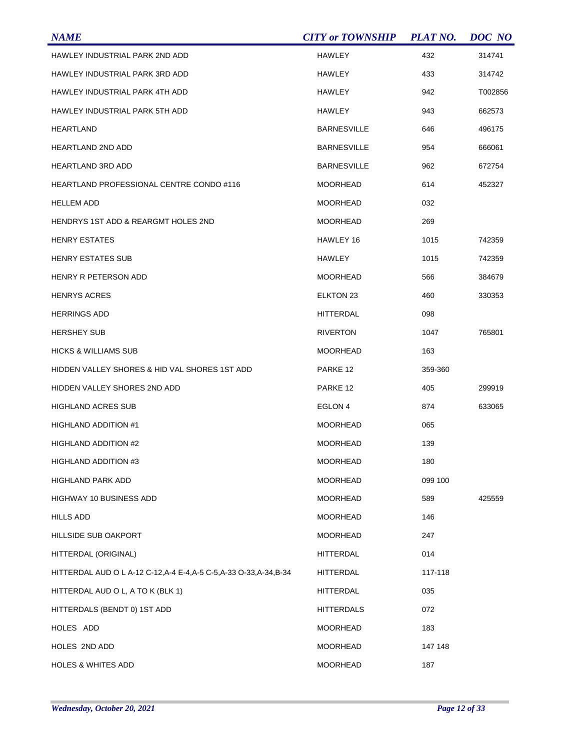| <b>NAME</b>                                                          | <b>CITY or TOWNSHIP</b> | <b>PLAT NO.</b> | DOC NO  |
|----------------------------------------------------------------------|-------------------------|-----------------|---------|
| HAWLEY INDUSTRIAL PARK 2ND ADD                                       | <b>HAWLEY</b>           | 432             | 314741  |
| HAWLEY INDUSTRIAL PARK 3RD ADD                                       | HAWLEY                  | 433             | 314742  |
| HAWLEY INDUSTRIAL PARK 4TH ADD                                       | <b>HAWLEY</b>           | 942             | T002856 |
| HAWLEY INDUSTRIAL PARK 5TH ADD                                       | HAWLEY                  | 943             | 662573  |
| HEARTLAND                                                            | <b>BARNESVILLE</b>      | 646             | 496175  |
| HEARTLAND 2ND ADD                                                    | <b>BARNESVILLE</b>      | 954             | 666061  |
| HEARTLAND 3RD ADD                                                    | <b>BARNESVILLE</b>      | 962             | 672754  |
| HEARTLAND PROFESSIONAL CENTRE CONDO #116                             | <b>MOORHEAD</b>         | 614             | 452327  |
| <b>HELLEM ADD</b>                                                    | <b>MOORHEAD</b>         | 032             |         |
| <b>HENDRYS 1ST ADD &amp; REARGMT HOLES 2ND</b>                       | <b>MOORHEAD</b>         | 269             |         |
| <b>HENRY ESTATES</b>                                                 | HAWLEY 16               | 1015            | 742359  |
| <b>HENRY ESTATES SUB</b>                                             | HAWLEY                  | 1015            | 742359  |
| HENRY R PETERSON ADD                                                 | <b>MOORHEAD</b>         | 566             | 384679  |
| <b>HENRYS ACRES</b>                                                  | ELKTON 23               | 460             | 330353  |
| <b>HERRINGS ADD</b>                                                  | <b>HITTERDAL</b>        | 098             |         |
| <b>HERSHEY SUB</b>                                                   | <b>RIVERTON</b>         | 1047            | 765801  |
| <b>HICKS &amp; WILLIAMS SUB</b>                                      | <b>MOORHEAD</b>         | 163             |         |
| HIDDEN VALLEY SHORES & HID VAL SHORES 1ST ADD                        | PARKE 12                | 359-360         |         |
| HIDDEN VALLEY SHORES 2ND ADD                                         | PARKE 12                | 405             | 299919  |
| <b>HIGHLAND ACRES SUB</b>                                            | EGLON 4                 | 874             | 633065  |
| HIGHLAND ADDITION #1                                                 | <b>MOORHEAD</b>         | 065             |         |
| <b>HIGHLAND ADDITION #2</b>                                          | <b>MOORHEAD</b>         | 139             |         |
| HIGHLAND ADDITION #3                                                 | <b>MOORHEAD</b>         | 180             |         |
| HIGHLAND PARK ADD                                                    | <b>MOORHEAD</b>         | 099 100         |         |
| HIGHWAY 10 BUSINESS ADD                                              | MOORHEAD                | 589             | 425559  |
| HILLS ADD                                                            | <b>MOORHEAD</b>         | 146             |         |
| <b>HILLSIDE SUB OAKPORT</b>                                          | MOORHEAD                | 247             |         |
| HITTERDAL (ORIGINAL)                                                 | HITTERDAL               | 014             |         |
| HITTERDAL AUD O L A-12 C-12, A-4 E-4, A-5 C-5, A-33 O-33, A-34, B-34 | <b>HITTERDAL</b>        | 117-118         |         |
| HITTERDAL AUD O L, A TO K (BLK 1)                                    | <b>HITTERDAL</b>        | 035             |         |
| HITTERDALS (BENDT 0) 1ST ADD                                         | HITTERDALS              | 072             |         |
| HOLES ADD                                                            | <b>MOORHEAD</b>         | 183             |         |
| HOLES 2ND ADD                                                        | MOORHEAD                | 147 148         |         |
| <b>HOLES &amp; WHITES ADD</b>                                        | <b>MOORHEAD</b>         | 187             |         |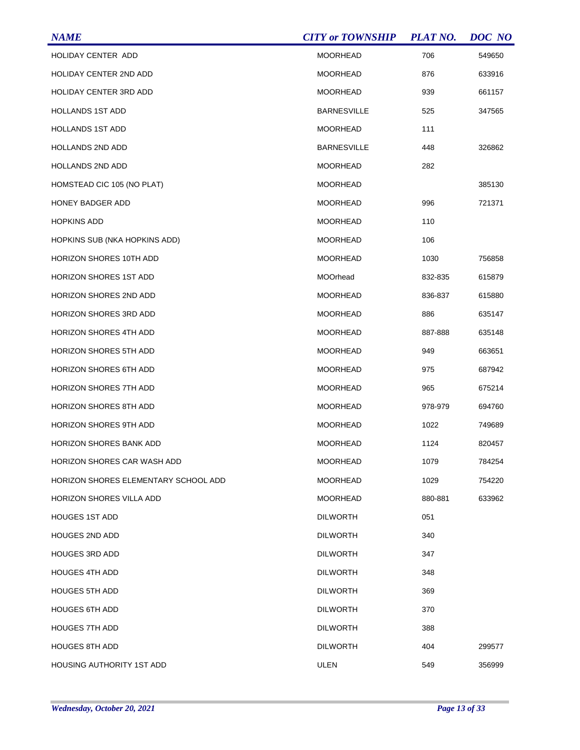| <b>NAME</b>                          | <b>CITY or TOWNSHIP</b> | <b>PLAT NO.</b> | DOC NO |
|--------------------------------------|-------------------------|-----------------|--------|
| HOLIDAY CENTER ADD                   | <b>MOORHEAD</b>         | 706             | 549650 |
| <b>HOLIDAY CENTER 2ND ADD</b>        | <b>MOORHEAD</b>         | 876             | 633916 |
| <b>HOLIDAY CENTER 3RD ADD</b>        | <b>MOORHEAD</b>         | 939             | 661157 |
| <b>HOLLANDS 1ST ADD</b>              | <b>BARNESVILLE</b>      | 525             | 347565 |
| <b>HOLLANDS 1ST ADD</b>              | MOORHEAD                | 111             |        |
| <b>HOLLANDS 2ND ADD</b>              | <b>BARNESVILLE</b>      | 448             | 326862 |
| HOLLANDS 2ND ADD                     | <b>MOORHEAD</b>         | 282             |        |
| HOMSTEAD CIC 105 (NO PLAT)           | <b>MOORHEAD</b>         |                 | 385130 |
| <b>HONEY BADGER ADD</b>              | <b>MOORHEAD</b>         | 996             | 721371 |
| <b>HOPKINS ADD</b>                   | <b>MOORHEAD</b>         | 110             |        |
| HOPKINS SUB (NKA HOPKINS ADD)        | <b>MOORHEAD</b>         | 106             |        |
| <b>HORIZON SHORES 10TH ADD</b>       | <b>MOORHEAD</b>         | 1030            | 756858 |
| <b>HORIZON SHORES 1ST ADD</b>        | MOOrhead                | 832-835         | 615879 |
| HORIZON SHORES 2ND ADD               | <b>MOORHEAD</b>         | 836-837         | 615880 |
| <b>HORIZON SHORES 3RD ADD</b>        | <b>MOORHEAD</b>         | 886             | 635147 |
| <b>HORIZON SHORES 4TH ADD</b>        | <b>MOORHEAD</b>         | 887-888         | 635148 |
| <b>HORIZON SHORES 5TH ADD</b>        | <b>MOORHEAD</b>         | 949             | 663651 |
| <b>HORIZON SHORES 6TH ADD</b>        | <b>MOORHEAD</b>         | 975             | 687942 |
| <b>HORIZON SHORES 7TH ADD</b>        | <b>MOORHEAD</b>         | 965             | 675214 |
| <b>HORIZON SHORES 8TH ADD</b>        | <b>MOORHEAD</b>         | 978-979         | 694760 |
| <b>HORIZON SHORES 9TH ADD</b>        | MOORHEAD                | 1022            | 749689 |
| <b>HORIZON SHORES BANK ADD</b>       | <b>MOORHEAD</b>         | 1124            | 820457 |
| <b>HORIZON SHORES CAR WASH ADD</b>   | <b>MOORHEAD</b>         | 1079            | 784254 |
| HORIZON SHORES ELEMENTARY SCHOOL ADD | <b>MOORHEAD</b>         | 1029            | 754220 |
| <b>HORIZON SHORES VILLA ADD</b>      | <b>MOORHEAD</b>         | 880-881         | 633962 |
| <b>HOUGES 1ST ADD</b>                | <b>DILWORTH</b>         | 051             |        |
| <b>HOUGES 2ND ADD</b>                | <b>DILWORTH</b>         | 340             |        |
| <b>HOUGES 3RD ADD</b>                | <b>DILWORTH</b>         | 347             |        |
| <b>HOUGES 4TH ADD</b>                | <b>DILWORTH</b>         | 348             |        |
| <b>HOUGES 5TH ADD</b>                | <b>DILWORTH</b>         | 369             |        |
| <b>HOUGES 6TH ADD</b>                | <b>DILWORTH</b>         | 370             |        |
| <b>HOUGES 7TH ADD</b>                | <b>DILWORTH</b>         | 388             |        |
| <b>HOUGES 8TH ADD</b>                | <b>DILWORTH</b>         | 404             | 299577 |
| <b>HOUSING AUTHORITY 1ST ADD</b>     | <b>ULEN</b>             | 549             | 356999 |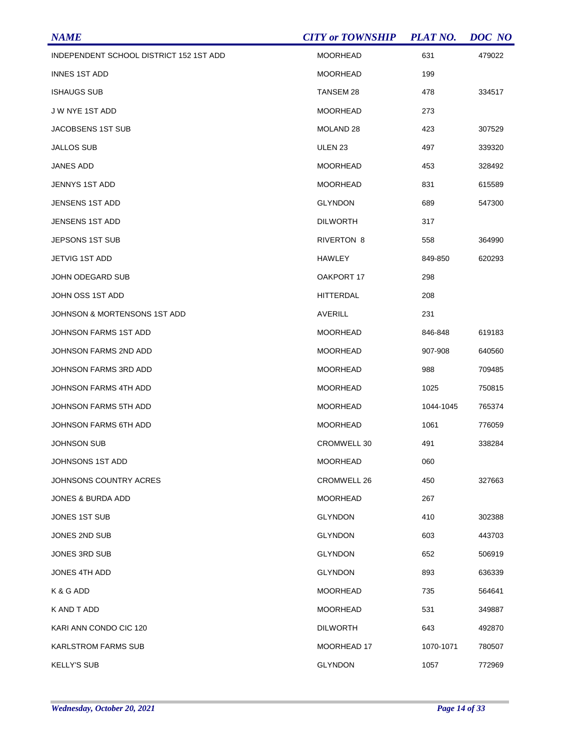| <b>NAME</b>                             | <b>CITY or TOWNSHIP</b> | <b>PLAT NO.</b> | DOC NO |
|-----------------------------------------|-------------------------|-----------------|--------|
| INDEPENDENT SCHOOL DISTRICT 152 1ST ADD | <b>MOORHEAD</b>         | 631             | 479022 |
| <b>INNES 1ST ADD</b>                    | <b>MOORHEAD</b>         | 199             |        |
| <b>ISHAUGS SUB</b>                      | TANSEM 28               | 478             | 334517 |
| J W NYE 1ST ADD                         | <b>MOORHEAD</b>         | 273             |        |
| JACOBSENS 1ST SUB                       | MOLAND 28               | 423             | 307529 |
| JALLOS SUB                              | ULEN <sub>23</sub>      | 497             | 339320 |
| JANES ADD                               | <b>MOORHEAD</b>         | 453             | 328492 |
| JENNYS 1ST ADD                          | MOORHEAD                | 831             | 615589 |
| <b>JENSENS 1ST ADD</b>                  | <b>GLYNDON</b>          | 689             | 547300 |
| <b>JENSENS 1ST ADD</b>                  | <b>DILWORTH</b>         | 317             |        |
| JEPSONS 1ST SUB                         | RIVERTON 8              | 558             | 364990 |
| JETVIG 1ST ADD                          | HAWLEY                  | 849-850         | 620293 |
| JOHN ODEGARD SUB                        | OAKPORT 17              | 298             |        |
| JOHN OSS 1ST ADD                        | HITTERDAL               | 208             |        |
| JOHNSON & MORTENSONS 1ST ADD            | <b>AVERILL</b>          | 231             |        |
| JOHNSON FARMS 1ST ADD                   | MOORHEAD                | 846-848         | 619183 |
| JOHNSON FARMS 2ND ADD                   | <b>MOORHEAD</b>         | 907-908         | 640560 |
| JOHNSON FARMS 3RD ADD                   | <b>MOORHEAD</b>         | 988             | 709485 |
| JOHNSON FARMS 4TH ADD                   | <b>MOORHEAD</b>         | 1025            | 750815 |
| JOHNSON FARMS 5TH ADD                   | <b>MOORHEAD</b>         | 1044-1045       | 765374 |
| JOHNSON FARMS 6TH ADD                   | <b>MOORHEAD</b>         | 1061            | 776059 |
| <b>JOHNSON SUB</b>                      | CROMWELL 30             | 491             | 338284 |
| JOHNSONS 1ST ADD                        | <b>MOORHEAD</b>         | 060             |        |
| JOHNSONS COUNTRY ACRES                  | CROMWELL 26             | 450             | 327663 |
| JONES & BURDA ADD                       | <b>MOORHEAD</b>         | 267             |        |
| JONES 1ST SUB                           | <b>GLYNDON</b>          | 410             | 302388 |
| JONES 2ND SUB                           | <b>GLYNDON</b>          | 603             | 443703 |
| JONES 3RD SUB                           | <b>GLYNDON</b>          | 652             | 506919 |
| JONES 4TH ADD                           | <b>GLYNDON</b>          | 893             | 636339 |
| K & G ADD                               | MOORHEAD                | 735             | 564641 |
| K AND T ADD                             | MOORHEAD                | 531             | 349887 |
| KARI ANN CONDO CIC 120                  | <b>DILWORTH</b>         | 643             | 492870 |
| <b>KARLSTROM FARMS SUB</b>              | MOORHEAD 17             | 1070-1071       | 780507 |
| <b>KELLY'S SUB</b>                      | <b>GLYNDON</b>          | 1057            | 772969 |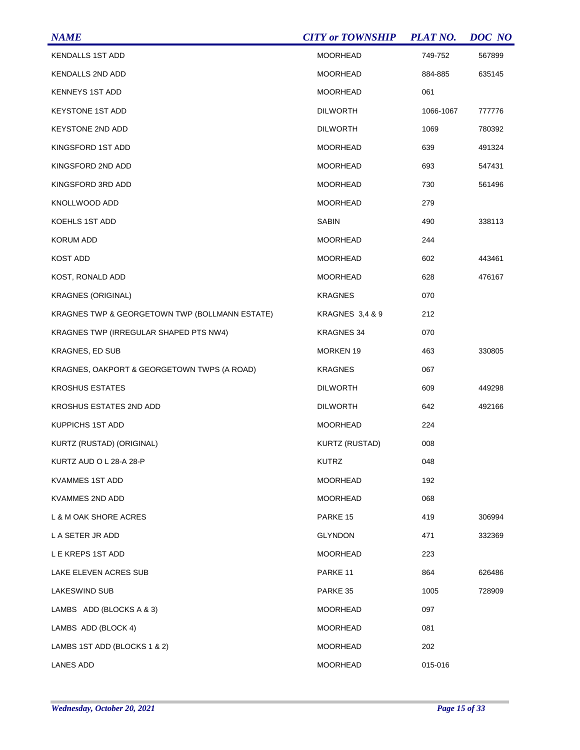| <b>NAME</b>                                    | <b>CITY or TOWNSHIP</b> | <b>PLAT NO.</b> | DOC NO |
|------------------------------------------------|-------------------------|-----------------|--------|
| <b>KENDALLS 1ST ADD</b>                        | <b>MOORHEAD</b>         | 749-752         | 567899 |
| <b>KENDALLS 2ND ADD</b>                        | <b>MOORHEAD</b>         | 884-885         | 635145 |
| <b>KENNEYS 1ST ADD</b>                         | <b>MOORHEAD</b>         | 061             |        |
| <b>KEYSTONE 1ST ADD</b>                        | <b>DILWORTH</b>         | 1066-1067       | 777776 |
| <b>KEYSTONE 2ND ADD</b>                        | <b>DILWORTH</b>         | 1069            | 780392 |
| KINGSFORD 1ST ADD                              | <b>MOORHEAD</b>         | 639             | 491324 |
| KINGSFORD 2ND ADD                              | <b>MOORHEAD</b>         | 693             | 547431 |
| KINGSFORD 3RD ADD                              | <b>MOORHEAD</b>         | 730             | 561496 |
| KNOLLWOOD ADD                                  | <b>MOORHEAD</b>         | 279             |        |
| <b>KOEHLS 1ST ADD</b>                          | <b>SABIN</b>            | 490             | 338113 |
| <b>KORUM ADD</b>                               | MOORHEAD                | 244             |        |
| <b>KOST ADD</b>                                | <b>MOORHEAD</b>         | 602             | 443461 |
| KOST, RONALD ADD                               | <b>MOORHEAD</b>         | 628             | 476167 |
| <b>KRAGNES (ORIGINAL)</b>                      | <b>KRAGNES</b>          | 070             |        |
| KRAGNES TWP & GEORGETOWN TWP (BOLLMANN ESTATE) | KRAGNES 3,4 & 9         | 212             |        |
| KRAGNES TWP (IRREGULAR SHAPED PTS NW4)         | <b>KRAGNES 34</b>       | 070             |        |
| <b>KRAGNES, ED SUB</b>                         | <b>MORKEN 19</b>        | 463             | 330805 |
| KRAGNES, OAKPORT & GEORGETOWN TWPS (A ROAD)    | <b>KRAGNES</b>          | 067             |        |
| <b>KROSHUS ESTATES</b>                         | <b>DILWORTH</b>         | 609             | 449298 |
| KROSHUS ESTATES 2ND ADD                        | <b>DILWORTH</b>         | 642             | 492166 |
| KUPPICHS 1ST ADD                               | <b>MOORHEAD</b>         | 224             |        |
| KURTZ (RUSTAD) (ORIGINAL)                      | <b>KURTZ (RUSTAD)</b>   | 008             |        |
| KURTZ AUD O L 28-A 28-P                        | KUTRZ                   | 048             |        |
| <b>KVAMMES 1ST ADD</b>                         | <b>MOORHEAD</b>         | 192             |        |
| KVAMMES 2ND ADD                                | MOORHEAD                | 068             |        |
| L & M OAK SHORE ACRES                          | PARKE 15                | 419             | 306994 |
| L A SETER JR ADD                               | <b>GLYNDON</b>          | 471             | 332369 |
| L E KREPS 1ST ADD                              | MOORHEAD                | 223             |        |
| LAKE ELEVEN ACRES SUB                          | PARKE <sub>11</sub>     | 864             | 626486 |
| <b>LAKESWIND SUB</b>                           | PARKE 35                | 1005            | 728909 |
| LAMBS ADD (BLOCKS A & 3)                       | MOORHEAD                | 097             |        |
| LAMBS ADD (BLOCK 4)                            | <b>MOORHEAD</b>         | 081             |        |
| LAMBS 1ST ADD (BLOCKS 1 & 2)                   | MOORHEAD                | 202             |        |
| <b>LANES ADD</b>                               | <b>MOORHEAD</b>         | 015-016         |        |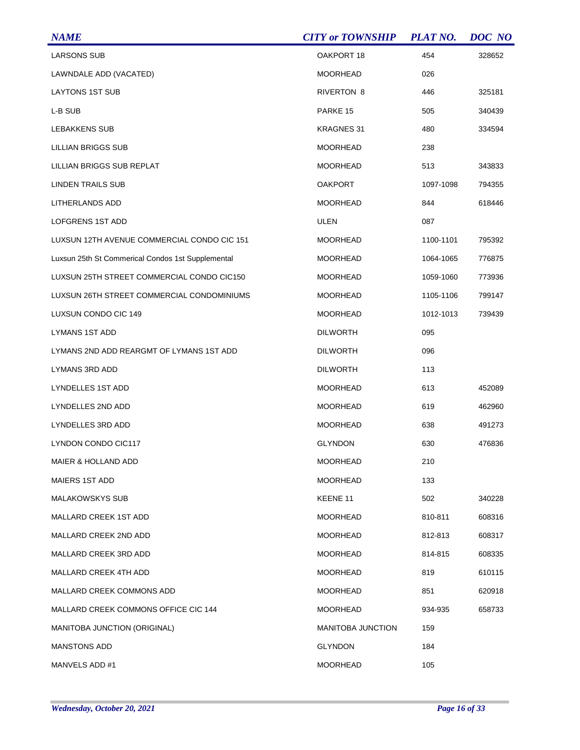| <b>NAME</b>                                       | <b>CITY or TOWNSHIP</b>  | <b>PLAT NO.</b> | DOC NO |
|---------------------------------------------------|--------------------------|-----------------|--------|
| <b>LARSONS SUB</b>                                | OAKPORT 18               | 454             | 328652 |
| LAWNDALE ADD (VACATED)                            | <b>MOORHEAD</b>          | 026             |        |
| <b>LAYTONS 1ST SUB</b>                            | RIVERTON 8               | 446             | 325181 |
| L-B SUB                                           | PARKE 15                 | 505             | 340439 |
| LEBAKKENS SUB                                     | <b>KRAGNES 31</b>        | 480             | 334594 |
| <b>LILLIAN BRIGGS SUB</b>                         | <b>MOORHEAD</b>          | 238             |        |
| LILLIAN BRIGGS SUB REPLAT                         | <b>MOORHEAD</b>          | 513             | 343833 |
| LINDEN TRAILS SUB                                 | <b>OAKPORT</b>           | 1097-1098       | 794355 |
| LITHERLANDS ADD                                   | <b>MOORHEAD</b>          | 844             | 618446 |
| <b>LOFGRENS 1ST ADD</b>                           | <b>ULEN</b>              | 087             |        |
| LUXSUN 12TH AVENUE COMMERCIAL CONDO CIC 151       | <b>MOORHEAD</b>          | 1100-1101       | 795392 |
| Luxsun 25th St Commerical Condos 1st Supplemental | <b>MOORHEAD</b>          | 1064-1065       | 776875 |
| LUXSUN 25TH STREET COMMERCIAL CONDO CIC150        | <b>MOORHEAD</b>          | 1059-1060       | 773936 |
| LUXSUN 26TH STREET COMMERCIAL CONDOMINIUMS        | <b>MOORHEAD</b>          | 1105-1106       | 799147 |
| LUXSUN CONDO CIC 149                              | <b>MOORHEAD</b>          | 1012-1013       | 739439 |
| LYMANS 1ST ADD                                    | <b>DILWORTH</b>          | 095             |        |
| LYMANS 2ND ADD REARGMT OF LYMANS 1ST ADD          | <b>DILWORTH</b>          | 096             |        |
| LYMANS 3RD ADD                                    | <b>DILWORTH</b>          | 113             |        |
| LYNDELLES 1ST ADD                                 | <b>MOORHEAD</b>          | 613             | 452089 |
| LYNDELLES 2ND ADD                                 | <b>MOORHEAD</b>          | 619             | 462960 |
| LYNDELLES 3RD ADD                                 | <b>MOORHEAD</b>          | 638             | 491273 |
| LYNDON CONDO CIC117                               | <b>GLYNDON</b>           | 630             | 476836 |
| <b>MAIER &amp; HOLLAND ADD</b>                    | <b>MOORHEAD</b>          | 210             |        |
| <b>MAIERS 1ST ADD</b>                             | <b>MOORHEAD</b>          | 133             |        |
| <b>MALAKOWSKYS SUB</b>                            | KEENE 11                 | 502             | 340228 |
| <b>MALLARD CREEK 1ST ADD</b>                      | <b>MOORHEAD</b>          | 810-811         | 608316 |
| MALLARD CREEK 2ND ADD                             | <b>MOORHEAD</b>          | 812-813         | 608317 |
| MALLARD CREEK 3RD ADD                             | <b>MOORHEAD</b>          | 814-815         | 608335 |
| MALLARD CREEK 4TH ADD                             | <b>MOORHEAD</b>          | 819             | 610115 |
| MALLARD CREEK COMMONS ADD                         | <b>MOORHEAD</b>          | 851             | 620918 |
| MALLARD CREEK COMMONS OFFICE CIC 144              | <b>MOORHEAD</b>          | 934-935         | 658733 |
| MANITOBA JUNCTION (ORIGINAL)                      | <b>MANITOBA JUNCTION</b> | 159             |        |
| MANSTONS ADD                                      | <b>GLYNDON</b>           | 184             |        |
| MANVELS ADD #1                                    | <b>MOORHEAD</b>          | 105             |        |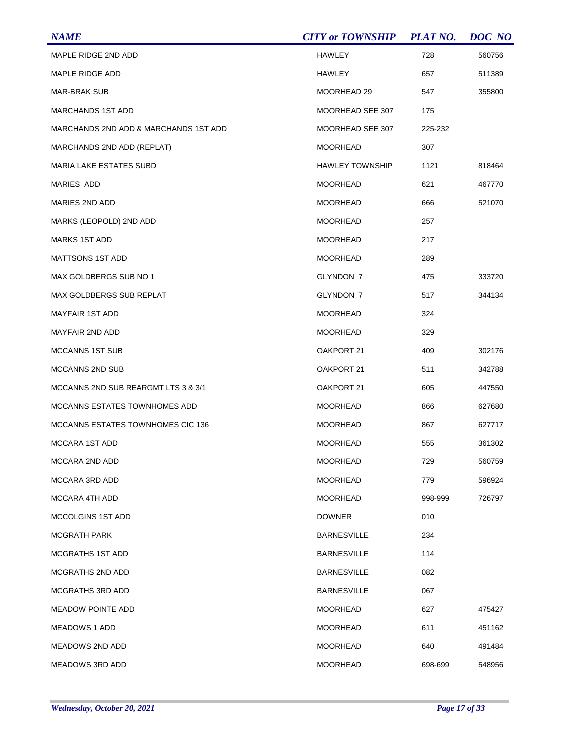| <b>NAME</b>                           | <b>CITY or TOWNSHIP</b> | <b>PLAT NO.</b> | DOC NO |
|---------------------------------------|-------------------------|-----------------|--------|
| MAPLE RIDGE 2ND ADD                   | <b>HAWLEY</b>           | 728             | 560756 |
| MAPLE RIDGE ADD                       | HAWLEY                  | 657             | 511389 |
| <b>MAR-BRAK SUB</b>                   | MOORHEAD 29             | 547             | 355800 |
| <b>MARCHANDS 1ST ADD</b>              | MOORHEAD SEE 307        | 175             |        |
| MARCHANDS 2ND ADD & MARCHANDS 1ST ADD | MOORHEAD SEE 307        | 225-232         |        |
| MARCHANDS 2ND ADD (REPLAT)            | <b>MOORHEAD</b>         | 307             |        |
| <b>MARIA LAKE ESTATES SUBD</b>        | <b>HAWLEY TOWNSHIP</b>  | 1121            | 818464 |
| MARIES ADD                            | <b>MOORHEAD</b>         | 621             | 467770 |
| MARIES 2ND ADD                        | <b>MOORHEAD</b>         | 666             | 521070 |
| MARKS (LEOPOLD) 2ND ADD               | <b>MOORHEAD</b>         | 257             |        |
| <b>MARKS 1ST ADD</b>                  | <b>MOORHEAD</b>         | 217             |        |
| <b>MATTSONS 1ST ADD</b>               | <b>MOORHEAD</b>         | 289             |        |
| MAX GOLDBERGS SUB NO 1                | GLYNDON 7               | 475             | 333720 |
| MAX GOLDBERGS SUB REPLAT              | GLYNDON 7               | 517             | 344134 |
| <b>MAYFAIR 1ST ADD</b>                | <b>MOORHEAD</b>         | 324             |        |
| <b>MAYFAIR 2ND ADD</b>                | <b>MOORHEAD</b>         | 329             |        |
| MCCANNS 1ST SUB                       | OAKPORT 21              | 409             | 302176 |
| <b>MCCANNS 2ND SUB</b>                | OAKPORT 21              | 511             | 342788 |
| MCCANNS 2ND SUB REARGMT LTS 3 & 3/1   | OAKPORT 21              | 605             | 447550 |
| MCCANNS ESTATES TOWNHOMES ADD         | <b>MOORHEAD</b>         | 866             | 627680 |
| MCCANNS ESTATES TOWNHOMES CIC 136     | MOORHEAD                | 867             | 627717 |
| <b>MCCARA 1ST ADD</b>                 | <b>MOORHEAD</b>         | 555             | 361302 |
| MCCARA 2ND ADD                        | <b>MOORHEAD</b>         | 729             | 560759 |
| MCCARA 3RD ADD                        | <b>MOORHEAD</b>         | 779             | 596924 |
| MCCARA 4TH ADD                        | <b>MOORHEAD</b>         | 998-999         | 726797 |
| MCCOLGINS 1ST ADD                     | <b>DOWNER</b>           | 010             |        |
| <b>MCGRATH PARK</b>                   | <b>BARNESVILLE</b>      | 234             |        |
| MCGRATHS 1ST ADD                      | <b>BARNESVILLE</b>      | 114             |        |
| MCGRATHS 2ND ADD                      | <b>BARNESVILLE</b>      | 082             |        |
| MCGRATHS 3RD ADD                      | <b>BARNESVILLE</b>      | 067             |        |
| <b>MEADOW POINTE ADD</b>              | <b>MOORHEAD</b>         | 627             | 475427 |
| <b>MEADOWS 1 ADD</b>                  | <b>MOORHEAD</b>         | 611             | 451162 |
| <b>MEADOWS 2ND ADD</b>                | <b>MOORHEAD</b>         | 640             | 491484 |
| MEADOWS 3RD ADD                       | <b>MOORHEAD</b>         | 698-699         | 548956 |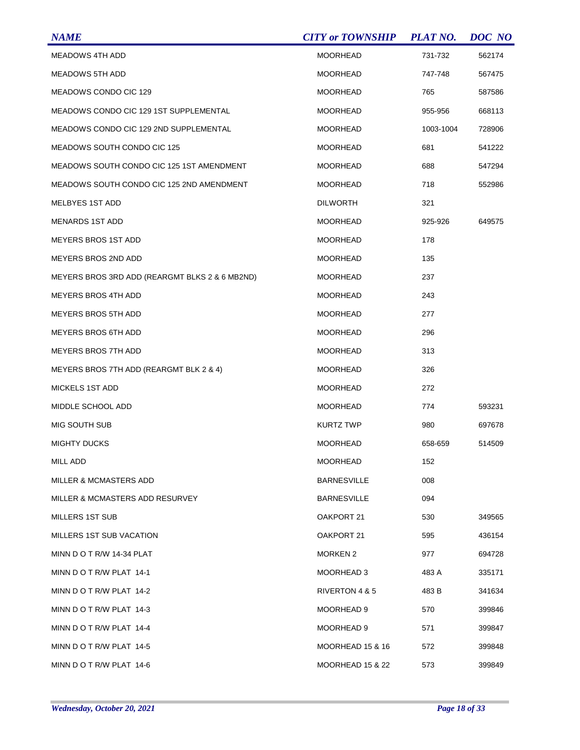| <b>NAME</b>                                    | <b>CITY or TOWNSHIP</b> | <b>PLAT NO.</b> | DOC NO |
|------------------------------------------------|-------------------------|-----------------|--------|
| <b>MEADOWS 4TH ADD</b>                         | <b>MOORHEAD</b>         | 731-732         | 562174 |
| <b>MEADOWS 5TH ADD</b>                         | <b>MOORHEAD</b>         | 747-748         | 567475 |
| MEADOWS CONDO CIC 129                          | <b>MOORHEAD</b>         | 765             | 587586 |
| MEADOWS CONDO CIC 129 1ST SUPPLEMENTAL         | <b>MOORHEAD</b>         | 955-956         | 668113 |
| MEADOWS CONDO CIC 129 2ND SUPPLEMENTAL         | <b>MOORHEAD</b>         | 1003-1004       | 728906 |
| MEADOWS SOUTH CONDO CIC 125                    | <b>MOORHEAD</b>         | 681             | 541222 |
| MEADOWS SOUTH CONDO CIC 125 1ST AMENDMENT      | <b>MOORHEAD</b>         | 688             | 547294 |
| MEADOWS SOUTH CONDO CIC 125 2ND AMENDMENT      | <b>MOORHEAD</b>         | 718             | 552986 |
| MELBYES 1ST ADD                                | <b>DILWORTH</b>         | 321             |        |
| <b>MENARDS 1ST ADD</b>                         | <b>MOORHEAD</b>         | 925-926         | 649575 |
| <b>MEYERS BROS 1ST ADD</b>                     | <b>MOORHEAD</b>         | 178             |        |
| MEYERS BROS 2ND ADD                            | <b>MOORHEAD</b>         | 135             |        |
| MEYERS BROS 3RD ADD (REARGMT BLKS 2 & 6 MB2ND) | <b>MOORHEAD</b>         | 237             |        |
| <b>MEYERS BROS 4TH ADD</b>                     | <b>MOORHEAD</b>         | 243             |        |
| <b>MEYERS BROS 5TH ADD</b>                     | <b>MOORHEAD</b>         | 277             |        |
| <b>MEYERS BROS 6TH ADD</b>                     | <b>MOORHEAD</b>         | 296             |        |
| <b>MEYERS BROS 7TH ADD</b>                     | <b>MOORHEAD</b>         | 313             |        |
| MEYERS BROS 7TH ADD (REARGMT BLK 2 & 4)        | <b>MOORHEAD</b>         | 326             |        |
| MICKELS 1ST ADD                                | <b>MOORHEAD</b>         | 272             |        |
| MIDDLE SCHOOL ADD                              | <b>MOORHEAD</b>         | 774             | 593231 |
| <b>MIG SOUTH SUB</b>                           | <b>KURTZ TWP</b>        | 980             | 697678 |
| <b>MIGHTY DUCKS</b>                            | <b>MOORHEAD</b>         | 658-659         | 514509 |
| MILL ADD                                       | <b>MOORHEAD</b>         | 152             |        |
| MILLER & MCMASTERS ADD                         | <b>BARNESVILLE</b>      | 008             |        |
| MILLER & MCMASTERS ADD RESURVEY                | <b>BARNESVILLE</b>      | 094             |        |
| MILLERS 1ST SUB                                | OAKPORT 21              | 530             | 349565 |
| MILLERS 1ST SUB VACATION                       | OAKPORT 21              | 595             | 436154 |
| MINN D O T R/W 14-34 PLAT                      | <b>MORKEN 2</b>         | 977             | 694728 |
| MINN DO T R/W PLAT 14-1                        | MOORHEAD 3              | 483 A           | 335171 |
| MINN DOT R/W PLAT 14-2                         | RIVERTON 4 & 5          | 483 B           | 341634 |
| MINN DO T R/W PLAT 14-3                        | MOORHEAD 9              | 570             | 399846 |
| MINN D O T R/W PLAT 14-4                       | MOORHEAD 9              | 571             | 399847 |
| MINN DO T R/W PLAT 14-5                        | MOORHEAD 15 & 16        | 572             | 399848 |
| MINN DO T R/W PLAT 14-6                        | MOORHEAD 15 & 22        | 573             | 399849 |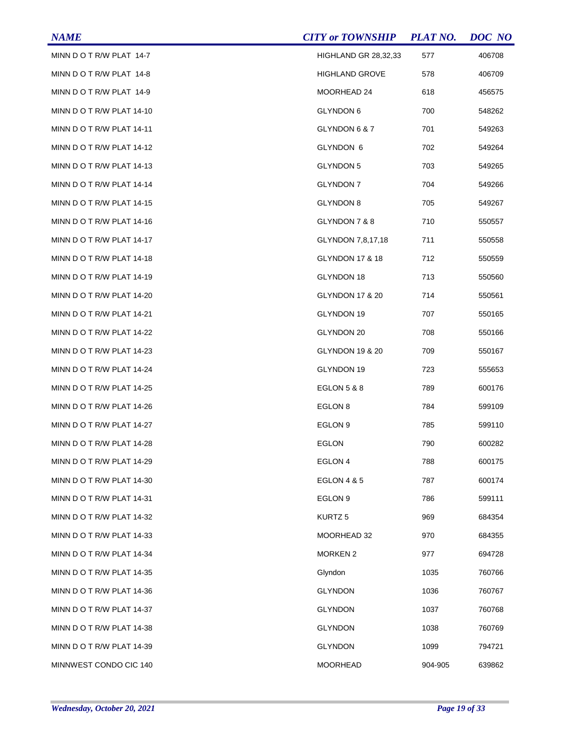| <b>NAME</b>               | <b>CITY or TOWNSHIP</b>    | <b>PLAT NO.</b> | DOC NO |
|---------------------------|----------------------------|-----------------|--------|
| MINN DO T R/W PLAT 14-7   | HIGHLAND GR 28,32,33       | 577             | 406708 |
| MINN DO T R/W PLAT 14-8   | <b>HIGHLAND GROVE</b>      | 578             | 406709 |
| MINN DO T R/W PLAT 14-9   | MOORHEAD 24                | 618             | 456575 |
| MINN DO T R/W PLAT 14-10  | GLYNDON 6                  | 700             | 548262 |
| MINN DOT R/W PLAT 14-11   | GLYNDON 6 & 7              | 701             | 549263 |
| MINN DO T R/W PLAT 14-12  | GLYNDON 6                  | 702             | 549264 |
| MINN DO T R/W PLAT 14-13  | <b>GLYNDON 5</b>           | 703             | 549265 |
| MINN DOT R/W PLAT 14-14   | <b>GLYNDON 7</b>           | 704             | 549266 |
| MINN DO T R/W PLAT 14-15  | <b>GLYNDON 8</b>           | 705             | 549267 |
| MINN DO T R/W PLAT 14-16  | GLYNDON 7 & 8              | 710             | 550557 |
| MINN DO T R/W PLAT 14-17  | GLYNDON 7,8,17,18          | 711             | 550558 |
| MINN DO T R/W PLAT 14-18  | <b>GLYNDON 17 &amp; 18</b> | 712             | 550559 |
| MINN DO T R/W PLAT 14-19  | GLYNDON 18                 | 713             | 550560 |
| MINN DO T R/W PLAT 14-20  | GLYNDON 17 & 20            | 714             | 550561 |
| MINN DO T R/W PLAT 14-21  | GLYNDON 19                 | 707             | 550165 |
| MINN DO T R/W PLAT 14-22  | GLYNDON 20                 | 708             | 550166 |
| MINN DO T R/W PLAT 14-23  | GLYNDON 19 & 20            | 709             | 550167 |
| MINN DO T R/W PLAT 14-24  | GLYNDON 19                 | 723             | 555653 |
| MINN DO T R/W PLAT 14-25  | <b>EGLON 5 &amp; 8</b>     | 789             | 600176 |
| MINN DO T R/W PLAT 14-26  | EGLON 8                    | 784             | 599109 |
| MINN DO T R/W PLAT 14-27  | EGLON <sub>9</sub>         | 785             | 599110 |
| MINN DO T R/W PLAT 14-28  | <b>EGLON</b>               | 790             | 600282 |
| MINN DO T R/W PLAT 14-29  | EGLON 4                    | 788             | 600175 |
| MINN DO T R/W PLAT 14-30  | <b>EGLON 4 &amp; 5</b>     | 787             | 600174 |
| MINN DO T R/W PLAT 14-31  | EGLON 9                    | 786             | 599111 |
| MINN DO T R/W PLAT 14-32  | KURTZ <sub>5</sub>         | 969             | 684354 |
| MINN DO T R/W PLAT 14-33  | MOORHEAD 32                | 970             | 684355 |
| MINN DO T R/W PLAT 14-34  | <b>MORKEN 2</b>            | 977             | 694728 |
| MINN DO T R/W PLAT 14-35  | Glyndon                    | 1035            | 760766 |
| MINN DO T R/W PLAT 14-36  | <b>GLYNDON</b>             | 1036            | 760767 |
| MINN D O T R/W PLAT 14-37 | <b>GLYNDON</b>             | 1037            | 760768 |
| MINN DO T R/W PLAT 14-38  | <b>GLYNDON</b>             | 1038            | 760769 |
| MINN DO T R/W PLAT 14-39  | <b>GLYNDON</b>             | 1099            | 794721 |
| MINNWEST CONDO CIC 140    | <b>MOORHEAD</b>            | 904-905         | 639862 |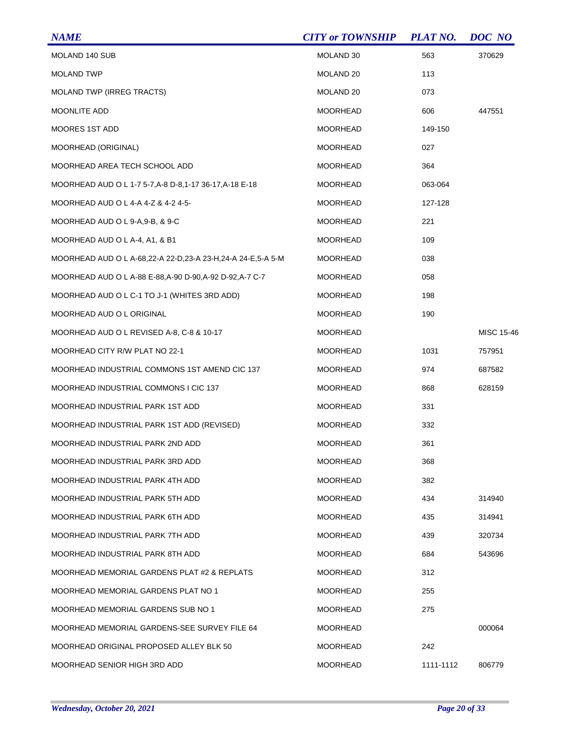| <b>NAME</b>                                                 | <b>CITY or TOWNSHIP</b> | <b>PLAT NO.</b> | DOC NO     |
|-------------------------------------------------------------|-------------------------|-----------------|------------|
| MOLAND 140 SUB                                              | MOLAND 30               | 563             | 370629     |
| <b>MOLAND TWP</b>                                           | MOLAND 20               | 113             |            |
| <b>MOLAND TWP (IRREG TRACTS)</b>                            | MOLAND 20               | 073             |            |
| <b>MOONLITE ADD</b>                                         | <b>MOORHEAD</b>         | 606             | 447551     |
| MOORES 1ST ADD                                              | MOORHEAD                | 149-150         |            |
| MOORHEAD (ORIGINAL)                                         | <b>MOORHEAD</b>         | 027             |            |
| MOORHEAD AREA TECH SCHOOL ADD                               | <b>MOORHEAD</b>         | 364             |            |
| MOORHEAD AUD O L 1-7 5-7,A-8 D-8,1-17 36-17,A-18 E-18       | MOORHEAD                | 063-064         |            |
| MOORHEAD AUD O L 4-A 4-Z & 4-2 4-5-                         | <b>MOORHEAD</b>         | 127-128         |            |
| MOORHEAD AUD O L 9-A,9-B, & 9-C                             | MOORHEAD                | 221             |            |
| MOORHEAD AUD O L A-4, A1, & B1                              | <b>MOORHEAD</b>         | 109             |            |
| MOORHEAD AUD O L A-68.22-A 22-D.23-A 23-H.24-A 24-E.5-A 5-M | <b>MOORHEAD</b>         | 038             |            |
| MOORHEAD AUD O L A-88 E-88,A-90 D-90,A-92 D-92,A-7 C-7      | MOORHEAD                | 058             |            |
| MOORHEAD AUD O L C-1 TO J-1 (WHITES 3RD ADD)                | <b>MOORHEAD</b>         | 198             |            |
| MOORHEAD AUD O L ORIGINAL                                   | <b>MOORHEAD</b>         | 190             |            |
| MOORHEAD AUD O L REVISED A-8, C-8 & 10-17                   | <b>MOORHEAD</b>         |                 | MISC 15-46 |
| MOORHEAD CITY R/W PLAT NO 22-1                              | <b>MOORHEAD</b>         | 1031            | 757951     |
| MOORHEAD INDUSTRIAL COMMONS 1ST AMEND CIC 137               | <b>MOORHEAD</b>         | 974             | 687582     |
| MOORHEAD INDUSTRIAL COMMONS I CIC 137                       | <b>MOORHEAD</b>         | 868             | 628159     |
| MOORHEAD INDUSTRIAL PARK 1ST ADD                            | <b>MOORHEAD</b>         | 331             |            |
| MOORHEAD INDUSTRIAL PARK 1ST ADD (REVISED)                  | MOORHEAD                | 332             |            |
| MOORHEAD INDUSTRIAL PARK 2ND ADD                            | <b>MOORHEAD</b>         | 361             |            |
| MOORHEAD INDUSTRIAL PARK 3RD ADD                            | MOORHEAD                | 368             |            |
| MOORHEAD INDUSTRIAL PARK 4TH ADD                            | MOORHEAD                | 382             |            |
| MOORHEAD INDUSTRIAL PARK 5TH ADD                            | MOORHEAD                | 434             | 314940     |
| MOORHEAD INDUSTRIAL PARK 6TH ADD                            | <b>MOORHEAD</b>         | 435             | 314941     |
| MOORHEAD INDUSTRIAL PARK 7TH ADD                            | <b>MOORHEAD</b>         | 439             | 320734     |
| MOORHEAD INDUSTRIAL PARK 8TH ADD                            | <b>MOORHEAD</b>         | 684             | 543696     |
| MOORHEAD MEMORIAL GARDENS PLAT #2 & REPLATS                 | MOORHEAD                | 312             |            |
| MOORHEAD MEMORIAL GARDENS PLAT NO 1                         | MOORHEAD                | 255             |            |
| MOORHEAD MEMORIAL GARDENS SUB NO 1                          | MOORHEAD                | 275             |            |
| MOORHEAD MEMORIAL GARDENS-SEE SURVEY FILE 64                | MOORHEAD                |                 | 000064     |
| MOORHEAD ORIGINAL PROPOSED ALLEY BLK 50                     | MOORHEAD                | 242             |            |
| MOORHEAD SENIOR HIGH 3RD ADD                                | MOORHEAD                | 1111-1112       | 806779     |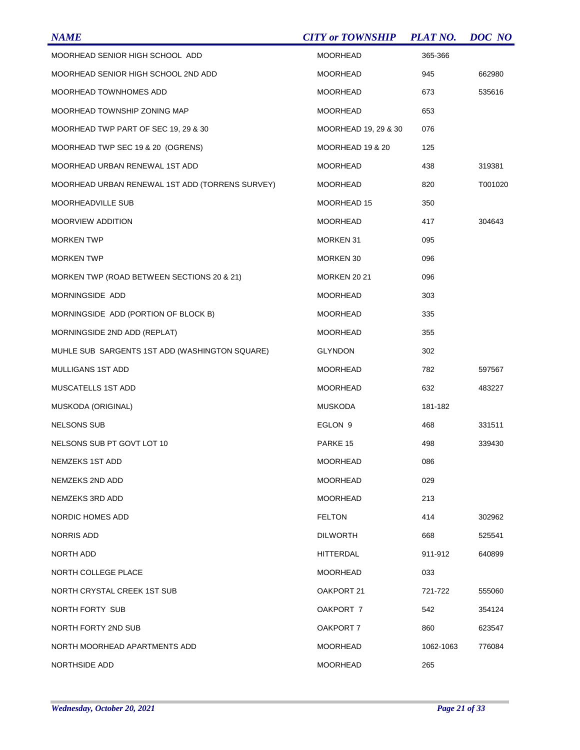| <b>NAME</b>                                     | <b>CITY or TOWNSHIP</b> | <b>PLAT NO.</b> | DOC NO  |
|-------------------------------------------------|-------------------------|-----------------|---------|
| MOORHEAD SENIOR HIGH SCHOOL ADD                 | <b>MOORHEAD</b>         | 365-366         |         |
| MOORHEAD SENIOR HIGH SCHOOL 2ND ADD             | <b>MOORHEAD</b>         | 945             | 662980  |
| MOORHEAD TOWNHOMES ADD                          | <b>MOORHEAD</b>         | 673             | 535616  |
| MOORHEAD TOWNSHIP ZONING MAP                    | <b>MOORHEAD</b>         | 653             |         |
| MOORHEAD TWP PART OF SEC 19, 29 & 30            | MOORHEAD 19, 29 & 30    | 076             |         |
| MOORHEAD TWP SEC 19 & 20 (OGRENS)               | MOORHEAD 19 & 20        | 125             |         |
| MOORHEAD URBAN RENEWAL 1ST ADD                  | <b>MOORHEAD</b>         | 438             | 319381  |
| MOORHEAD URBAN RENEWAL 1ST ADD (TORRENS SURVEY) | <b>MOORHEAD</b>         | 820             | T001020 |
| <b>MOORHEADVILLE SUB</b>                        | MOORHEAD 15             | 350             |         |
| <b>MOORVIEW ADDITION</b>                        | <b>MOORHEAD</b>         | 417             | 304643  |
| <b>MORKEN TWP</b>                               | <b>MORKEN 31</b>        | 095             |         |
| <b>MORKEN TWP</b>                               | MORKEN 30               | 096             |         |
| MORKEN TWP (ROAD BETWEEN SECTIONS 20 & 21)      | <b>MORKEN 20 21</b>     | 096             |         |
| MORNINGSIDE ADD                                 | <b>MOORHEAD</b>         | 303             |         |
| MORNINGSIDE ADD (PORTION OF BLOCK B)            | <b>MOORHEAD</b>         | 335             |         |
| MORNINGSIDE 2ND ADD (REPLAT)                    | <b>MOORHEAD</b>         | 355             |         |
| MUHLE SUB SARGENTS 1ST ADD (WASHINGTON SQUARE)  | <b>GLYNDON</b>          | 302             |         |
| MULLIGANS 1ST ADD                               | MOORHEAD                | 782             | 597567  |
| MUSCATELLS 1ST ADD                              | <b>MOORHEAD</b>         | 632             | 483227  |
| MUSKODA (ORIGINAL)                              | <b>MUSKODA</b>          | 181-182         |         |
| NELSONS SUB                                     | EGLON 9                 | 468             | 331511  |
| NELSONS SUB PT GOVT LOT 10                      | PARKE 15                | 498             | 339430  |
| NEMZEKS 1ST ADD                                 | <b>MOORHEAD</b>         | 086             |         |
| NEMZEKS 2ND ADD                                 | <b>MOORHEAD</b>         | 029             |         |
| NEMZEKS 3RD ADD                                 | <b>MOORHEAD</b>         | 213             |         |
| NORDIC HOMES ADD                                | <b>FELTON</b>           | 414             | 302962  |
| NORRIS ADD                                      | <b>DILWORTH</b>         | 668             | 525541  |
| NORTH ADD                                       | HITTERDAL               | 911-912         | 640899  |
| NORTH COLLEGE PLACE                             | <b>MOORHEAD</b>         | 033             |         |
| NORTH CRYSTAL CREEK 1ST SUB                     | OAKPORT 21              | 721-722         | 555060  |
| NORTH FORTY SUB                                 | OAKPORT 7               | 542             | 354124  |
| NORTH FORTY 2ND SUB                             | OAKPORT 7               | 860             | 623547  |
| NORTH MOORHEAD APARTMENTS ADD                   | <b>MOORHEAD</b>         | 1062-1063       | 776084  |
| NORTHSIDE ADD                                   | <b>MOORHEAD</b>         | 265             |         |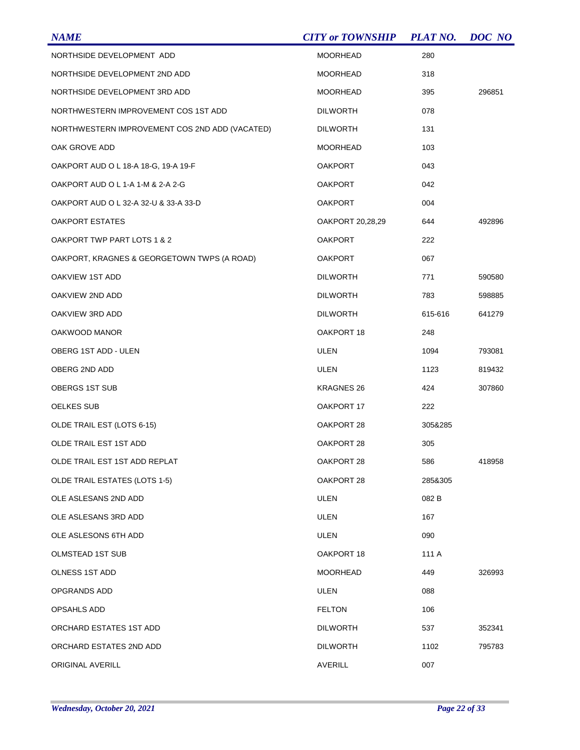| <b>NAME</b>                                    | <b>CITY or TOWNSHIP</b> | <b>PLAT NO.</b> | DOC NO |
|------------------------------------------------|-------------------------|-----------------|--------|
| NORTHSIDE DEVELOPMENT ADD                      | <b>MOORHEAD</b>         | 280             |        |
| NORTHSIDE DEVELOPMENT 2ND ADD                  | <b>MOORHEAD</b>         | 318             |        |
| NORTHSIDE DEVELOPMENT 3RD ADD                  | <b>MOORHEAD</b>         | 395             | 296851 |
| NORTHWESTERN IMPROVEMENT COS 1ST ADD           | <b>DILWORTH</b>         | 078             |        |
| NORTHWESTERN IMPROVEMENT COS 2ND ADD (VACATED) | <b>DILWORTH</b>         | 131             |        |
| OAK GROVE ADD                                  | <b>MOORHEAD</b>         | 103             |        |
| OAKPORT AUD O L 18-A 18-G, 19-A 19-F           | <b>OAKPORT</b>          | 043             |        |
| OAKPORT AUD O L 1-A 1-M & 2-A 2-G              | <b>OAKPORT</b>          | 042             |        |
| OAKPORT AUD O L 32-A 32-U & 33-A 33-D          | <b>OAKPORT</b>          | 004             |        |
| <b>OAKPORT ESTATES</b>                         | OAKPORT 20,28,29        | 644             | 492896 |
| OAKPORT TWP PART LOTS 1 & 2                    | <b>OAKPORT</b>          | 222             |        |
| OAKPORT, KRAGNES & GEORGETOWN TWPS (A ROAD)    | <b>OAKPORT</b>          | 067             |        |
| OAKVIEW 1ST ADD                                | <b>DILWORTH</b>         | 771             | 590580 |
| OAKVIEW 2ND ADD                                | <b>DILWORTH</b>         | 783             | 598885 |
| OAKVIEW 3RD ADD                                | <b>DILWORTH</b>         | 615-616         | 641279 |
| OAKWOOD MANOR                                  | OAKPORT 18              | 248             |        |
| OBERG 1ST ADD - ULEN                           | ULEN                    | 1094            | 793081 |
| OBERG 2ND ADD                                  | ULEN                    | 1123            | 819432 |
| OBERGS 1ST SUB                                 | <b>KRAGNES 26</b>       | 424             | 307860 |
| <b>OELKES SUB</b>                              | OAKPORT 17              | 222             |        |
| OLDE TRAIL EST (LOTS 6-15)                     | OAKPORT 28              | 305&285         |        |
| OLDE TRAIL EST 1ST ADD                         | OAKPORT 28              | 305             |        |
| OLDE TRAIL EST 1ST ADD REPLAT                  | OAKPORT 28              | 586             | 418958 |
| <b>OLDE TRAIL ESTATES (LOTS 1-5)</b>           | OAKPORT 28              | 285&305         |        |
| OLE ASLESANS 2ND ADD                           | ULEN                    | 082 B           |        |
| OLE ASLESANS 3RD ADD                           | ULEN                    | 167             |        |
| OLE ASLESONS 6TH ADD                           | ULEN                    | 090             |        |
| OLMSTEAD 1ST SUB                               | OAKPORT 18              | 111 A           |        |
| <b>OLNESS 1ST ADD</b>                          | <b>MOORHEAD</b>         | 449             | 326993 |
| OPGRANDS ADD                                   | ULEN                    | 088             |        |
| OPSAHLS ADD                                    | <b>FELTON</b>           | 106             |        |
| ORCHARD ESTATES 1ST ADD                        | <b>DILWORTH</b>         | 537             | 352341 |
| ORCHARD ESTATES 2ND ADD                        | <b>DILWORTH</b>         | 1102            | 795783 |
| ORIGINAL AVERILL                               | <b>AVERILL</b>          | 007             |        |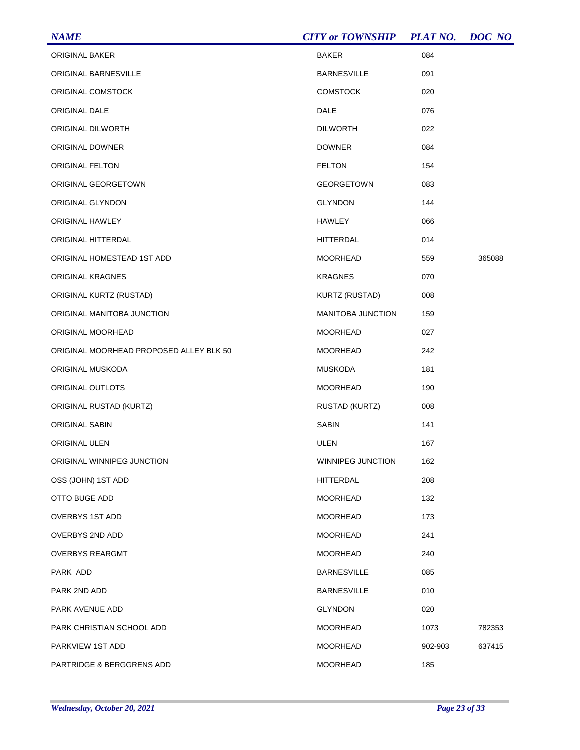| <b>NAME</b>                             | <b>CITY or TOWNSHIP</b>  | <b>PLAT NO.</b> | DOC NO |
|-----------------------------------------|--------------------------|-----------------|--------|
| ORIGINAL BAKER                          | <b>BAKER</b>             | 084             |        |
| ORIGINAL BARNESVILLE                    | <b>BARNESVILLE</b>       | 091             |        |
| ORIGINAL COMSTOCK                       | <b>COMSTOCK</b>          | 020             |        |
| ORIGINAL DALE                           | DALE                     | 076             |        |
| ORIGINAL DILWORTH                       | <b>DILWORTH</b>          | 022             |        |
| ORIGINAL DOWNER                         | <b>DOWNER</b>            | 084             |        |
| ORIGINAL FELTON                         | <b>FELTON</b>            | 154             |        |
| ORIGINAL GEORGETOWN                     | <b>GEORGETOWN</b>        | 083             |        |
| ORIGINAL GLYNDON                        | <b>GLYNDON</b>           | 144             |        |
| ORIGINAL HAWLEY                         | HAWLEY                   | 066             |        |
| ORIGINAL HITTERDAL                      | HITTERDAL                | 014             |        |
| ORIGINAL HOMESTEAD 1ST ADD              | <b>MOORHEAD</b>          | 559             | 365088 |
| ORIGINAL KRAGNES                        | <b>KRAGNES</b>           | 070             |        |
| ORIGINAL KURTZ (RUSTAD)                 | KURTZ (RUSTAD)           | 008             |        |
| ORIGINAL MANITOBA JUNCTION              | <b>MANITOBA JUNCTION</b> | 159             |        |
| ORIGINAL MOORHEAD                       | <b>MOORHEAD</b>          | 027             |        |
| ORIGINAL MOORHEAD PROPOSED ALLEY BLK 50 | MOORHEAD                 | 242             |        |
| ORIGINAL MUSKODA                        | <b>MUSKODA</b>           | 181             |        |
| ORIGINAL OUTLOTS                        | MOORHEAD                 | 190             |        |
| ORIGINAL RUSTAD (KURTZ)                 | RUSTAD (KURTZ)           | 008             |        |
| ORIGINAL SABIN                          | <b>SABIN</b>             | 141             |        |
| ORIGINAL ULEN                           | ULEN                     | 167             |        |
| ORIGINAL WINNIPEG JUNCTION              | WINNIPEG JUNCTION        | 162             |        |
| OSS (JOHN) 1ST ADD                      | <b>HITTERDAL</b>         | 208             |        |
| OTTO BUGE ADD                           | <b>MOORHEAD</b>          | 132             |        |
| OVERBYS 1ST ADD                         | <b>MOORHEAD</b>          | 173             |        |
| OVERBYS 2ND ADD                         | <b>MOORHEAD</b>          | 241             |        |
| <b>OVERBYS REARGMT</b>                  | <b>MOORHEAD</b>          | 240             |        |
| PARK ADD                                | <b>BARNESVILLE</b>       | 085             |        |
| PARK 2ND ADD                            | <b>BARNESVILLE</b>       | 010             |        |
| PARK AVENUE ADD                         | <b>GLYNDON</b>           | 020             |        |
| PARK CHRISTIAN SCHOOL ADD               | <b>MOORHEAD</b>          | 1073            | 782353 |
| PARKVIEW 1ST ADD                        | <b>MOORHEAD</b>          | 902-903         | 637415 |
| PARTRIDGE & BERGGRENS ADD               | <b>MOORHEAD</b>          | 185             |        |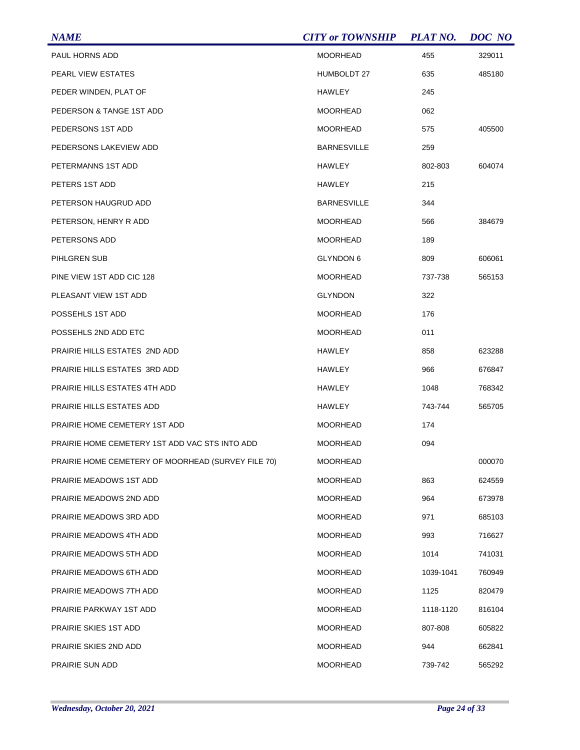| <b>NAME</b>                                        | <b>CITY or TOWNSHIP</b> | <b>PLAT NO.</b> | <b>DOC</b> NO |
|----------------------------------------------------|-------------------------|-----------------|---------------|
| PAUL HORNS ADD                                     | <b>MOORHEAD</b>         | 455             | 329011        |
| PEARL VIEW ESTATES                                 | <b>HUMBOLDT 27</b>      | 635             | 485180        |
| PEDER WINDEN, PLAT OF                              | HAWLEY                  | 245             |               |
| PEDERSON & TANGE 1ST ADD                           | <b>MOORHEAD</b>         | 062             |               |
| PEDERSONS 1ST ADD                                  | MOORHEAD                | 575             | 405500        |
| PEDERSONS LAKEVIEW ADD                             | <b>BARNESVILLE</b>      | 259             |               |
| PETERMANNS 1ST ADD                                 | <b>HAWLEY</b>           | 802-803         | 604074        |
| PETERS 1ST ADD                                     | HAWLEY                  | 215             |               |
| PETERSON HAUGRUD ADD                               | <b>BARNESVILLE</b>      | 344             |               |
| PETERSON, HENRY R ADD                              | <b>MOORHEAD</b>         | 566             | 384679        |
| PETERSONS ADD                                      | <b>MOORHEAD</b>         | 189             |               |
| PIHLGREN SUB                                       | GLYNDON 6               | 809             | 606061        |
| PINE VIEW 1ST ADD CIC 128                          | MOORHEAD                | 737-738         | 565153        |
| PLEASANT VIEW 1ST ADD                              | <b>GLYNDON</b>          | 322             |               |
| POSSEHLS 1ST ADD                                   | <b>MOORHEAD</b>         | 176             |               |
| POSSEHLS 2ND ADD ETC                               | <b>MOORHEAD</b>         | 011             |               |
| PRAIRIE HILLS ESTATES 2ND ADD                      | HAWLEY                  | 858             | 623288        |
| PRAIRIE HILLS ESTATES 3RD ADD                      | HAWLEY                  | 966             | 676847        |
| PRAIRIE HILLS ESTATES 4TH ADD                      | HAWLEY                  | 1048            | 768342        |
| PRAIRIE HILLS ESTATES ADD                          | HAWLEY                  | 743-744         | 565705        |
| PRAIRIE HOME CEMETERY 1ST ADD                      | MOORHEAD                | 174             |               |
| PRAIRIE HOME CEMETERY 1ST ADD VAC STS INTO ADD     | <b>MOORHEAD</b>         | 094             |               |
| PRAIRIE HOME CEMETERY OF MOORHEAD (SURVEY FILE 70) | MOORHEAD                |                 | 000070        |
| PRAIRIE MEADOWS 1ST ADD                            | <b>MOORHEAD</b>         | 863             | 624559        |
| PRAIRIE MEADOWS 2ND ADD                            | MOORHEAD                | 964             | 673978        |
| PRAIRIE MEADOWS 3RD ADD                            | <b>MOORHEAD</b>         | 971             | 685103        |
| PRAIRIE MEADOWS 4TH ADD                            | MOORHEAD                | 993             | 716627        |
| PRAIRIE MEADOWS 5TH ADD                            | <b>MOORHEAD</b>         | 1014            | 741031        |
| PRAIRIE MEADOWS 6TH ADD                            | <b>MOORHEAD</b>         | 1039-1041       | 760949        |
| PRAIRIE MEADOWS 7TH ADD                            | <b>MOORHEAD</b>         | 1125            | 820479        |
| PRAIRIE PARKWAY 1ST ADD                            | MOORHEAD                | 1118-1120       | 816104        |
| PRAIRIE SKIES 1ST ADD                              | <b>MOORHEAD</b>         | 807-808         | 605822        |
| PRAIRIE SKIES 2ND ADD                              | MOORHEAD                | 944             | 662841        |
| PRAIRIE SUN ADD                                    | <b>MOORHEAD</b>         | 739-742         | 565292        |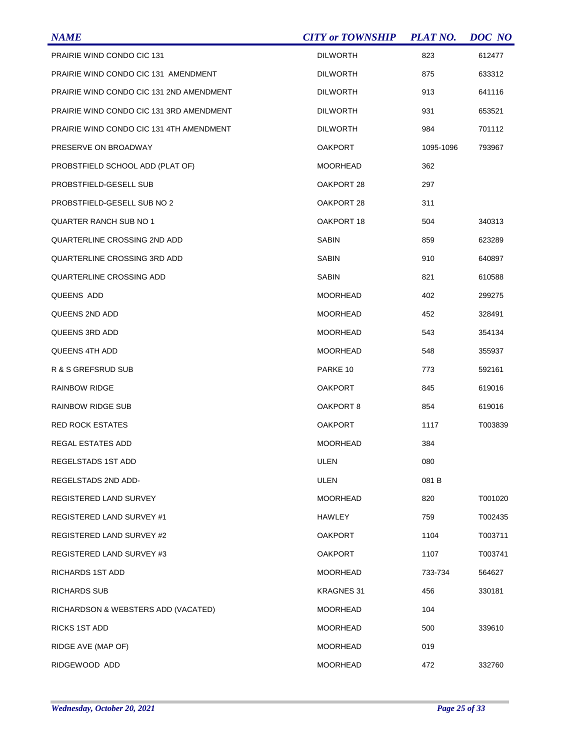| <b>NAME</b>                              | <b>CITY or TOWNSHIP</b> | <b>PLAT NO.</b> | DOC NO  |
|------------------------------------------|-------------------------|-----------------|---------|
| PRAIRIE WIND CONDO CIC 131               | <b>DILWORTH</b>         | 823             | 612477  |
| PRAIRIE WIND CONDO CIC 131 AMENDMENT     | <b>DILWORTH</b>         | 875             | 633312  |
| PRAIRIE WIND CONDO CIC 131 2ND AMENDMENT | <b>DILWORTH</b>         | 913             | 641116  |
| PRAIRIE WIND CONDO CIC 131 3RD AMENDMENT | <b>DILWORTH</b>         | 931             | 653521  |
| PRAIRIE WIND CONDO CIC 131 4TH AMENDMENT | <b>DILWORTH</b>         | 984             | 701112  |
| PRESERVE ON BROADWAY                     | <b>OAKPORT</b>          | 1095-1096       | 793967  |
| PROBSTFIELD SCHOOL ADD (PLAT OF)         | <b>MOORHEAD</b>         | 362             |         |
| PROBSTFIELD-GESELL SUB                   | OAKPORT 28              | 297             |         |
| PROBSTFIELD-GESELL SUB NO 2              | OAKPORT 28              | 311             |         |
| <b>QUARTER RANCH SUB NO 1</b>            | OAKPORT 18              | 504             | 340313  |
| QUARTERLINE CROSSING 2ND ADD             | <b>SABIN</b>            | 859             | 623289  |
| QUARTERLINE CROSSING 3RD ADD             | <b>SABIN</b>            | 910             | 640897  |
| QUARTERLINE CROSSING ADD                 | <b>SABIN</b>            | 821             | 610588  |
| QUEENS ADD                               | <b>MOORHEAD</b>         | 402             | 299275  |
| QUEENS 2ND ADD                           | <b>MOORHEAD</b>         | 452             | 328491  |
| QUEENS 3RD ADD                           | <b>MOORHEAD</b>         | 543             | 354134  |
| <b>QUEENS 4TH ADD</b>                    | <b>MOORHEAD</b>         | 548             | 355937  |
| R & S GREFSRUD SUB                       | PARKE 10                | 773             | 592161  |
| RAINBOW RIDGE                            | <b>OAKPORT</b>          | 845             | 619016  |
| <b>RAINBOW RIDGE SUB</b>                 | OAKPORT 8               | 854             | 619016  |
| <b>RED ROCK ESTATES</b>                  | <b>OAKPORT</b>          | 1117            | T003839 |
| REGAL ESTATES ADD                        | <b>MOORHEAD</b>         | 384             |         |
| REGELSTADS 1ST ADD                       | <b>ULEN</b>             | 080             |         |
| REGELSTADS 2ND ADD-                      | ULEN                    | 081 B           |         |
| <b>REGISTERED LAND SURVEY</b>            | <b>MOORHEAD</b>         | 820             | T001020 |
| REGISTERED LAND SURVEY #1                | <b>HAWLEY</b>           | 759             | T002435 |
| REGISTERED LAND SURVEY #2                | <b>OAKPORT</b>          | 1104            | T003711 |
| REGISTERED LAND SURVEY #3                | <b>OAKPORT</b>          | 1107            | T003741 |
| RICHARDS 1ST ADD                         | <b>MOORHEAD</b>         | 733-734         | 564627  |
| RICHARDS SUB                             | <b>KRAGNES 31</b>       | 456             | 330181  |
| RICHARDSON & WEBSTERS ADD (VACATED)      | <b>MOORHEAD</b>         | 104             |         |
| <b>RICKS 1ST ADD</b>                     | <b>MOORHEAD</b>         | 500             | 339610  |
| RIDGE AVE (MAP OF)                       | <b>MOORHEAD</b>         | 019             |         |
| RIDGEWOOD ADD                            | <b>MOORHEAD</b>         | 472             | 332760  |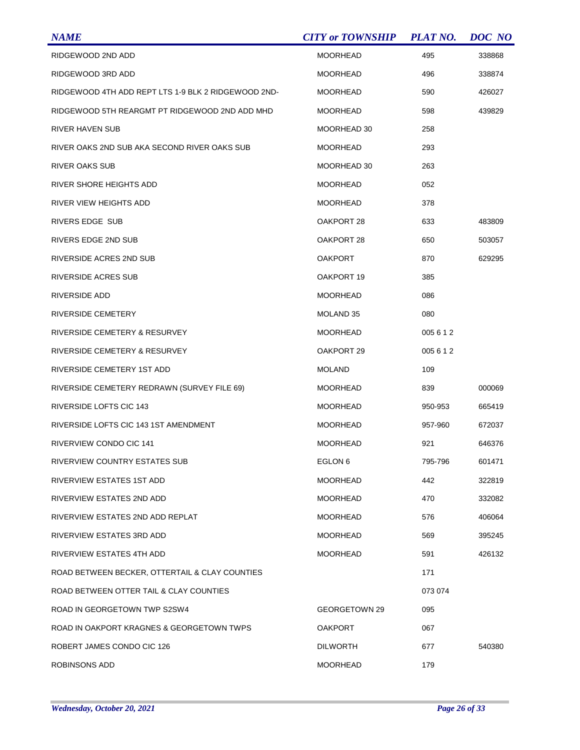| <b>NAME</b>                                         | <b>CITY or TOWNSHIP</b> | <b>PLAT NO.</b> | <b>DOC</b> NO |
|-----------------------------------------------------|-------------------------|-----------------|---------------|
| RIDGEWOOD 2ND ADD                                   | <b>MOORHEAD</b>         | 495             | 338868        |
| RIDGEWOOD 3RD ADD                                   | MOORHEAD                | 496             | 338874        |
| RIDGEWOOD 4TH ADD REPT LTS 1-9 BLK 2 RIDGEWOOD 2ND- | MOORHEAD                | 590             | 426027        |
| RIDGEWOOD 5TH REARGMT PT RIDGEWOOD 2ND ADD MHD      | MOORHEAD                | 598             | 439829        |
| RIVER HAVEN SUB                                     | MOORHEAD 30             | 258             |               |
| RIVER OAKS 2ND SUB AKA SECOND RIVER OAKS SUB        | <b>MOORHEAD</b>         | 293             |               |
| <b>RIVER OAKS SUB</b>                               | MOORHEAD 30             | 263             |               |
| RIVER SHORE HEIGHTS ADD                             | MOORHEAD                | 052             |               |
| RIVER VIEW HEIGHTS ADD                              | MOORHEAD                | 378             |               |
| RIVERS EDGE SUB                                     | OAKPORT 28              | 633             | 483809        |
| RIVERS EDGE 2ND SUB                                 | OAKPORT 28              | 650             | 503057        |
| RIVERSIDE ACRES 2ND SUB                             | OAKPORT                 | 870             | 629295        |
| RIVERSIDE ACRES SUB                                 | OAKPORT 19              | 385             |               |
| RIVERSIDE ADD                                       | MOORHEAD                | 086             |               |
| RIVERSIDE CEMETERY                                  | MOLAND 35               | 080             |               |
| RIVERSIDE CEMETERY & RESURVEY                       | MOORHEAD                | 005612          |               |
| RIVERSIDE CEMETERY & RESURVEY                       | OAKPORT 29              | 005 6 1 2       |               |
| RIVERSIDE CEMETERY 1ST ADD                          | <b>MOLAND</b>           | 109             |               |
| RIVERSIDE CEMETERY REDRAWN (SURVEY FILE 69)         | MOORHEAD                | 839             | 000069        |
| RIVERSIDE LOFTS CIC 143                             | <b>MOORHEAD</b>         | 950-953         | 665419        |
| RIVERSIDE LOFTS CIC 143 1ST AMENDMENT               | MOORHEAD                | 957-960         | 672037        |
| RIVERVIEW CONDO CIC 141                             | <b>MOORHEAD</b>         | 921             | 646376        |
| <b>RIVERVIEW COUNTRY ESTATES SUB</b>                | EGLON <sub>6</sub>      | 795-796         | 601471        |
| RIVERVIEW ESTATES 1ST ADD                           | <b>MOORHEAD</b>         | 442             | 322819        |
| RIVERVIEW ESTATES 2ND ADD                           | MOORHEAD                | 470             | 332082        |
| RIVERVIEW ESTATES 2ND ADD REPLAT                    | <b>MOORHEAD</b>         | 576             | 406064        |
| RIVERVIEW ESTATES 3RD ADD                           | MOORHEAD                | 569             | 395245        |
| RIVERVIEW ESTATES 4TH ADD                           | <b>MOORHEAD</b>         | 591             | 426132        |
| ROAD BETWEEN BECKER, OTTERTAIL & CLAY COUNTIES      |                         | 171             |               |
| ROAD BETWEEN OTTER TAIL & CLAY COUNTIES             |                         | 073 074         |               |
| ROAD IN GEORGETOWN TWP S2SW4                        | GEORGETOWN 29           | 095             |               |
| ROAD IN OAKPORT KRAGNES & GEORGETOWN TWPS           | <b>OAKPORT</b>          | 067             |               |
| ROBERT JAMES CONDO CIC 126                          | <b>DILWORTH</b>         | 677             | 540380        |
| ROBINSONS ADD                                       | <b>MOORHEAD</b>         | 179             |               |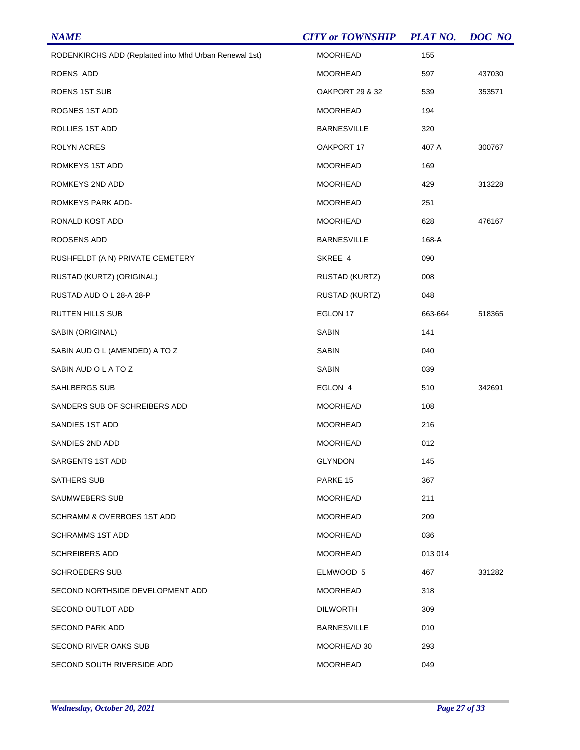| <b>NAME</b>                                            | <b>CITY or TOWNSHIP</b> | <b>PLAT NO.</b> | DOC NO |
|--------------------------------------------------------|-------------------------|-----------------|--------|
| RODENKIRCHS ADD (Replatted into Mhd Urban Renewal 1st) | <b>MOORHEAD</b>         | 155             |        |
| ROENS ADD                                              | <b>MOORHEAD</b>         | 597             | 437030 |
| ROENS 1ST SUB                                          | OAKPORT 29 & 32         | 539             | 353571 |
| ROGNES 1ST ADD                                         | <b>MOORHEAD</b>         | 194             |        |
| ROLLIES 1ST ADD                                        | <b>BARNESVILLE</b>      | 320             |        |
| ROLYN ACRES                                            | OAKPORT 17              | 407 A           | 300767 |
| ROMKEYS 1ST ADD                                        | <b>MOORHEAD</b>         | 169             |        |
| ROMKEYS 2ND ADD                                        | <b>MOORHEAD</b>         | 429             | 313228 |
| ROMKEYS PARK ADD-                                      | <b>MOORHEAD</b>         | 251             |        |
| RONALD KOST ADD                                        | <b>MOORHEAD</b>         | 628             | 476167 |
| ROOSENS ADD                                            | <b>BARNESVILLE</b>      | 168-A           |        |
| RUSHFELDT (A N) PRIVATE CEMETERY                       | SKREE 4                 | 090             |        |
| RUSTAD (KURTZ) (ORIGINAL)                              | <b>RUSTAD (KURTZ)</b>   | 008             |        |
| RUSTAD AUD O L 28-A 28-P                               | RUSTAD (KURTZ)          | 048             |        |
| <b>RUTTEN HILLS SUB</b>                                | EGLON 17                | 663-664         | 518365 |
| SABIN (ORIGINAL)                                       | <b>SABIN</b>            | 141             |        |
| SABIN AUD O L (AMENDED) A TO Z                         | <b>SABIN</b>            | 040             |        |
| SABIN AUD O L A TO Z                                   | <b>SABIN</b>            | 039             |        |
| SAHLBERGS SUB                                          | EGLON 4                 | 510             | 342691 |
| SANDERS SUB OF SCHREIBERS ADD                          | <b>MOORHEAD</b>         | 108             |        |
| SANDIES 1ST ADD                                        | <b>MOORHEAD</b>         | 216             |        |
| SANDIES 2ND ADD                                        | <b>MOORHEAD</b>         | 012             |        |
| SARGENTS 1ST ADD                                       | <b>GLYNDON</b>          | 145             |        |
| SATHERS SUB                                            | PARKE 15                | 367             |        |
| SAUMWEBERS SUB                                         | <b>MOORHEAD</b>         | 211             |        |
| SCHRAMM & OVERBOES 1ST ADD                             | <b>MOORHEAD</b>         | 209             |        |
| <b>SCHRAMMS 1ST ADD</b>                                | <b>MOORHEAD</b>         | 036             |        |
| <b>SCHREIBERS ADD</b>                                  | <b>MOORHEAD</b>         | 013 014         |        |
| SCHROEDERS SUB                                         | ELMWOOD 5               | 467             | 331282 |
| SECOND NORTHSIDE DEVELOPMENT ADD                       | <b>MOORHEAD</b>         | 318             |        |
| SECOND OUTLOT ADD                                      | <b>DILWORTH</b>         | 309             |        |
| <b>SECOND PARK ADD</b>                                 | <b>BARNESVILLE</b>      | 010             |        |
| SECOND RIVER OAKS SUB                                  | MOORHEAD 30             | 293             |        |
| SECOND SOUTH RIVERSIDE ADD                             | <b>MOORHEAD</b>         | 049             |        |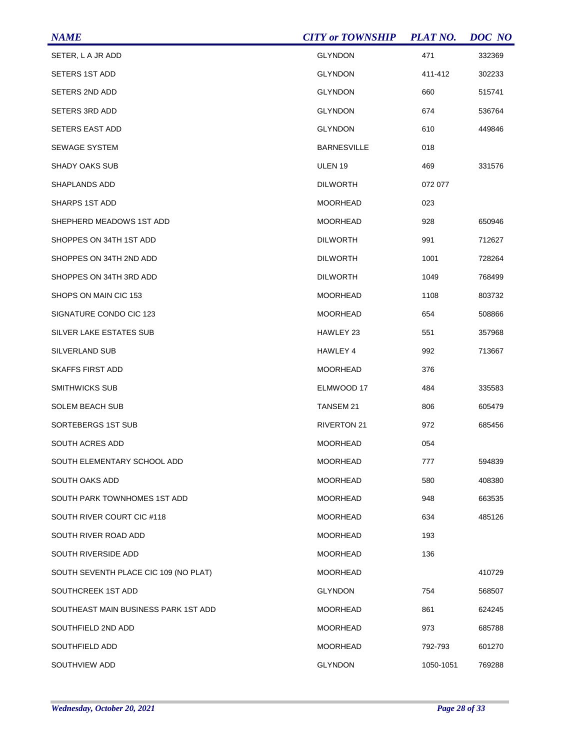| <b>NAME</b>                           | <b>CITY or TOWNSHIP</b> | <b>PLAT NO.</b> | DOC NO |
|---------------------------------------|-------------------------|-----------------|--------|
| SETER, L A JR ADD                     | <b>GLYNDON</b>          | 471             | 332369 |
| <b>SETERS 1ST ADD</b>                 | <b>GLYNDON</b>          | 411-412         | 302233 |
| SETERS 2ND ADD                        | <b>GLYNDON</b>          | 660             | 515741 |
| SETERS 3RD ADD                        | <b>GLYNDON</b>          | 674             | 536764 |
| SETERS EAST ADD                       | <b>GLYNDON</b>          | 610             | 449846 |
| <b>SEWAGE SYSTEM</b>                  | <b>BARNESVILLE</b>      | 018             |        |
| <b>SHADY OAKS SUB</b>                 | ULEN <sub>19</sub>      | 469             | 331576 |
| SHAPLANDS ADD                         | <b>DILWORTH</b>         | 072 077         |        |
| SHARPS 1ST ADD                        | MOORHEAD                | 023             |        |
| SHEPHERD MEADOWS 1ST ADD              | MOORHEAD                | 928             | 650946 |
| SHOPPES ON 34TH 1ST ADD               | <b>DILWORTH</b>         | 991             | 712627 |
| SHOPPES ON 34TH 2ND ADD               | <b>DILWORTH</b>         | 1001            | 728264 |
| SHOPPES ON 34TH 3RD ADD               | <b>DILWORTH</b>         | 1049            | 768499 |
| SHOPS ON MAIN CIC 153                 | <b>MOORHEAD</b>         | 1108            | 803732 |
| SIGNATURE CONDO CIC 123               | <b>MOORHEAD</b>         | 654             | 508866 |
| SILVER LAKE ESTATES SUB               | HAWLEY 23               | 551             | 357968 |
| SILVERLAND SUB                        | HAWLEY 4                | 992             | 713667 |
| <b>SKAFFS FIRST ADD</b>               | <b>MOORHEAD</b>         | 376             |        |
| SMITHWICKS SUB                        | ELMWOOD 17              | 484             | 335583 |
| <b>SOLEM BEACH SUB</b>                | <b>TANSEM 21</b>        | 806             | 605479 |
| SORTEBERGS 1ST SUB                    | <b>RIVERTON 21</b>      | 972             | 685456 |
| <b>SOUTH ACRES ADD</b>                | <b>MOORHEAD</b>         | 054             |        |
| SOUTH ELEMENTARY SCHOOL ADD           | MOORHEAD                | 777             | 594839 |
| SOUTH OAKS ADD                        | <b>MOORHEAD</b>         | 580             | 408380 |
| SOUTH PARK TOWNHOMES 1ST ADD          | MOORHEAD                | 948             | 663535 |
| SOUTH RIVER COURT CIC #118            | <b>MOORHEAD</b>         | 634             | 485126 |
| SOUTH RIVER ROAD ADD                  | MOORHEAD                | 193             |        |
| SOUTH RIVERSIDE ADD                   | MOORHEAD                | 136             |        |
| SOUTH SEVENTH PLACE CIC 109 (NO PLAT) | MOORHEAD                |                 | 410729 |
| SOUTHCREEK 1ST ADD                    | <b>GLYNDON</b>          | 754             | 568507 |
| SOUTHEAST MAIN BUSINESS PARK 1ST ADD  | MOORHEAD                | 861             | 624245 |
| SOUTHFIELD 2ND ADD                    | <b>MOORHEAD</b>         | 973             | 685788 |
| SOUTHFIELD ADD                        | MOORHEAD                | 792-793         | 601270 |
| SOUTHVIEW ADD                         | <b>GLYNDON</b>          | 1050-1051       | 769288 |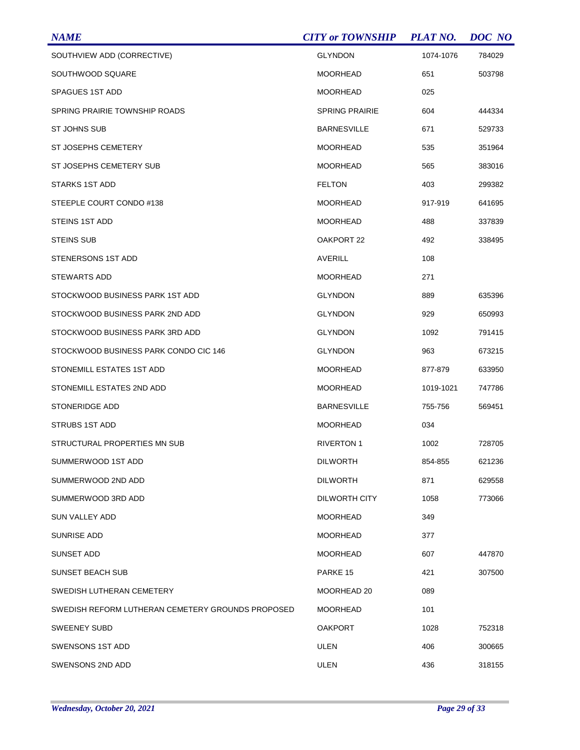| <b>NAME</b>                                       | <b>CITY or TOWNSHIP</b> | <b>PLAT NO.</b> | DOC NO |
|---------------------------------------------------|-------------------------|-----------------|--------|
| SOUTHVIEW ADD (CORRECTIVE)                        | <b>GLYNDON</b>          | 1074-1076       | 784029 |
| SOUTHWOOD SQUARE                                  | <b>MOORHEAD</b>         | 651             | 503798 |
| <b>SPAGUES 1ST ADD</b>                            | <b>MOORHEAD</b>         | 025             |        |
| SPRING PRAIRIE TOWNSHIP ROADS                     | <b>SPRING PRAIRIE</b>   | 604             | 444334 |
| ST JOHNS SUB                                      | <b>BARNESVILLE</b>      | 671             | 529733 |
| ST JOSEPHS CEMETERY                               | <b>MOORHEAD</b>         | 535             | 351964 |
| ST JOSEPHS CEMETERY SUB                           | <b>MOORHEAD</b>         | 565             | 383016 |
| <b>STARKS 1ST ADD</b>                             | <b>FELTON</b>           | 403             | 299382 |
| STEEPLE COURT CONDO #138                          | MOORHEAD                | 917-919         | 641695 |
| STEINS 1ST ADD                                    | <b>MOORHEAD</b>         | 488             | 337839 |
| <b>STEINS SUB</b>                                 | OAKPORT 22              | 492             | 338495 |
| STENERSONS 1ST ADD                                | <b>AVERILL</b>          | 108             |        |
| STEWARTS ADD                                      | MOORHEAD                | 271             |        |
| STOCKWOOD BUSINESS PARK 1ST ADD                   | <b>GLYNDON</b>          | 889             | 635396 |
| STOCKWOOD BUSINESS PARK 2ND ADD                   | <b>GLYNDON</b>          | 929             | 650993 |
| STOCKWOOD BUSINESS PARK 3RD ADD                   | <b>GLYNDON</b>          | 1092            | 791415 |
| STOCKWOOD BUSINESS PARK CONDO CIC 146             | <b>GLYNDON</b>          | 963             | 673215 |
| STONEMILL ESTATES 1ST ADD                         | <b>MOORHEAD</b>         | 877-879         | 633950 |
| STONEMILL ESTATES 2ND ADD                         | <b>MOORHEAD</b>         | 1019-1021       | 747786 |
| <b>STONERIDGE ADD</b>                             | <b>BARNESVILLE</b>      | 755-756         | 569451 |
| STRUBS 1ST ADD                                    | MOORHEAD                | 034             |        |
| STRUCTURAL PROPERTIES MN SUB                      | <b>RIVERTON 1</b>       | 1002            | 728705 |
| SUMMERWOOD 1ST ADD                                | <b>DILWORTH</b>         | 854-855         | 621236 |
| SUMMERWOOD 2ND ADD                                | <b>DILWORTH</b>         | 871             | 629558 |
| SUMMERWOOD 3RD ADD                                | <b>DILWORTH CITY</b>    | 1058            | 773066 |
| <b>SUN VALLEY ADD</b>                             | <b>MOORHEAD</b>         | 349             |        |
| <b>SUNRISE ADD</b>                                | MOORHEAD                | 377             |        |
| SUNSET ADD                                        | MOORHEAD                | 607             | 447870 |
| <b>SUNSET BEACH SUB</b>                           | PARKE 15                | 421             | 307500 |
| SWEDISH LUTHERAN CEMETERY                         | MOORHEAD 20             | 089             |        |
| SWEDISH REFORM LUTHERAN CEMETERY GROUNDS PROPOSED | MOORHEAD                | 101             |        |
| <b>SWEENEY SUBD</b>                               | <b>OAKPORT</b>          | 1028            | 752318 |
| SWENSONS 1ST ADD                                  | ULEN                    | 406             | 300665 |
| SWENSONS 2ND ADD                                  | <b>ULEN</b>             | 436             | 318155 |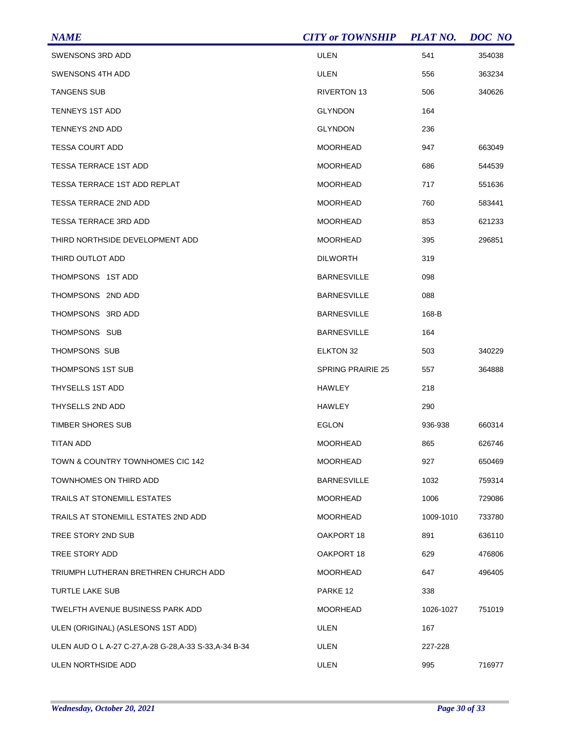| <b>NAME</b>                                             | <b>CITY or TOWNSHIP</b>  | <b>PLAT NO.</b> | <b>DOC</b> NO |
|---------------------------------------------------------|--------------------------|-----------------|---------------|
| SWENSONS 3RD ADD                                        | <b>ULEN</b>              | 541             | 354038        |
| SWENSONS 4TH ADD                                        | <b>ULEN</b>              | 556             | 363234        |
| <b>TANGENS SUB</b>                                      | RIVERTON 13              | 506             | 340626        |
| <b>TENNEYS 1ST ADD</b>                                  | <b>GLYNDON</b>           | 164             |               |
| <b>TENNEYS 2ND ADD</b>                                  | <b>GLYNDON</b>           | 236             |               |
| <b>TESSA COURT ADD</b>                                  | MOORHEAD                 | 947             | 663049        |
| <b>TESSA TERRACE 1ST ADD</b>                            | <b>MOORHEAD</b>          | 686             | 544539        |
| <b>TESSA TERRACE 1ST ADD REPLAT</b>                     | MOORHEAD                 | 717             | 551636        |
| <b>TESSA TERRACE 2ND ADD</b>                            | MOORHEAD                 | 760             | 583441        |
| <b>TESSA TERRACE 3RD ADD</b>                            | <b>MOORHEAD</b>          | 853             | 621233        |
| THIRD NORTHSIDE DEVELOPMENT ADD                         | <b>MOORHEAD</b>          | 395             | 296851        |
| THIRD OUTLOT ADD                                        | <b>DILWORTH</b>          | 319             |               |
| THOMPSONS 1ST ADD                                       | <b>BARNESVILLE</b>       | 098             |               |
| THOMPSONS 2ND ADD                                       | <b>BARNESVILLE</b>       | 088             |               |
| THOMPSONS 3RD ADD                                       | <b>BARNESVILLE</b>       | 168-B           |               |
| THOMPSONS SUB                                           | <b>BARNESVILLE</b>       | 164             |               |
| THOMPSONS SUB                                           | <b>ELKTON 32</b>         | 503             | 340229        |
| THOMPSONS 1ST SUB                                       | <b>SPRING PRAIRIE 25</b> | 557             | 364888        |
| THYSELLS 1ST ADD                                        | HAWLEY                   | 218             |               |
| THYSELLS 2ND ADD                                        | HAWLEY                   | 290             |               |
| <b>TIMBER SHORES SUB</b>                                | EGLON                    | 936-938         | 660314        |
| <b>TITAN ADD</b>                                        | <b>MOORHEAD</b>          | 865             | 626746        |
| TOWN & COUNTRY TOWNHOMES CIC 142                        | <b>MOORHEAD</b>          | 927             | 650469        |
| TOWNHOMES ON THIRD ADD                                  | <b>BARNESVILLE</b>       | 1032            | 759314        |
| TRAILS AT STONEMILL ESTATES                             | MOORHEAD                 | 1006            | 729086        |
| TRAILS AT STONEMILL ESTATES 2ND ADD                     | <b>MOORHEAD</b>          | 1009-1010       | 733780        |
| TREE STORY 2ND SUB                                      | OAKPORT 18               | 891             | 636110        |
| TREE STORY ADD                                          | OAKPORT 18               | 629             | 476806        |
| TRIUMPH LUTHERAN BRETHREN CHURCH ADD                    | <b>MOORHEAD</b>          | 647             | 496405        |
| TURTLE LAKE SUB                                         | PARKE 12                 | 338             |               |
| TWELFTH AVENUE BUSINESS PARK ADD                        | MOORHEAD                 | 1026-1027       | 751019        |
| ULEN (ORIGINAL) (ASLESONS 1ST ADD)                      | <b>ULEN</b>              | 167             |               |
| ULEN AUD O L A-27 C-27, A-28 G-28, A-33 S-33, A-34 B-34 | ULEN                     | 227-228         |               |
| ULEN NORTHSIDE ADD                                      | <b>ULEN</b>              | 995             | 716977        |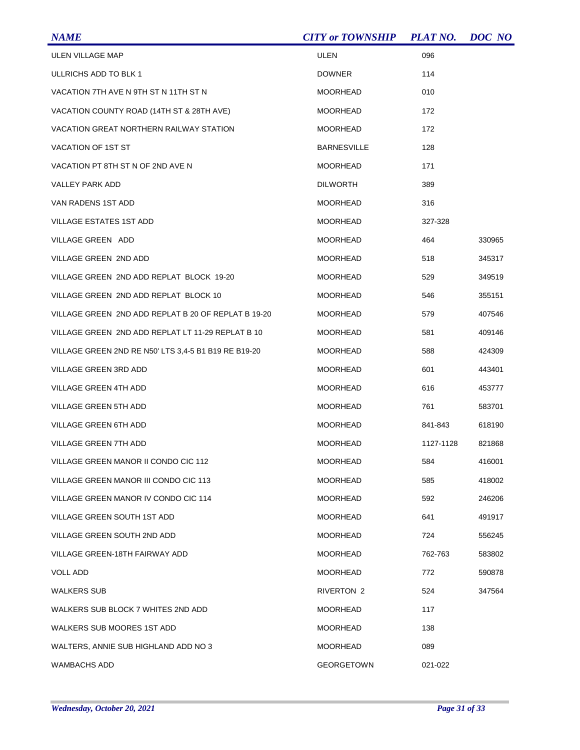| <b>NAME</b>                                          | <b>CITY or TOWNSHIP</b> | <b>PLAT NO.</b> | DOC NO |
|------------------------------------------------------|-------------------------|-----------------|--------|
| ULEN VILLAGE MAP                                     | ULEN                    | 096             |        |
| ULLRICHS ADD TO BLK 1                                | <b>DOWNER</b>           | 114             |        |
| VACATION 7TH AVE N 9TH ST N 11TH ST N                | <b>MOORHEAD</b>         | 010             |        |
| VACATION COUNTY ROAD (14TH ST & 28TH AVE)            | <b>MOORHEAD</b>         | 172             |        |
| <b>VACATION GREAT NORTHERN RAILWAY STATION</b>       | <b>MOORHEAD</b>         | 172             |        |
| VACATION OF 1ST ST                                   | <b>BARNESVILLE</b>      | 128             |        |
| VACATION PT 8TH ST N OF 2ND AVE N                    | <b>MOORHEAD</b>         | 171             |        |
| VALLEY PARK ADD                                      | <b>DILWORTH</b>         | 389             |        |
| VAN RADENS 1ST ADD                                   | <b>MOORHEAD</b>         | 316             |        |
| <b>VILLAGE ESTATES 1ST ADD</b>                       | <b>MOORHEAD</b>         | 327-328         |        |
| VILLAGE GREEN ADD                                    | <b>MOORHEAD</b>         | 464             | 330965 |
| VILLAGE GREEN 2ND ADD                                | <b>MOORHEAD</b>         | 518             | 345317 |
| VILLAGE GREEN 2ND ADD REPLAT BLOCK 19-20             | <b>MOORHEAD</b>         | 529             | 349519 |
| VILLAGE GREEN 2ND ADD REPLAT BLOCK 10                | <b>MOORHEAD</b>         | 546             | 355151 |
| VILLAGE GREEN 2ND ADD REPLAT B 20 OF REPLAT B 19-20  | <b>MOORHEAD</b>         | 579             | 407546 |
| VILLAGE GREEN 2ND ADD REPLAT LT 11-29 REPLAT B 10    | <b>MOORHEAD</b>         | 581             | 409146 |
| VILLAGE GREEN 2ND RE N50' LTS 3,4-5 B1 B19 RE B19-20 | <b>MOORHEAD</b>         | 588             | 424309 |
| VILLAGE GREEN 3RD ADD                                | <b>MOORHEAD</b>         | 601             | 443401 |
| VILLAGE GREEN 4TH ADD                                | <b>MOORHEAD</b>         | 616             | 453777 |
| VILLAGE GREEN 5TH ADD                                | <b>MOORHEAD</b>         | 761             | 583701 |
| VILLAGE GREEN 6TH ADD                                | <b>MOORHEAD</b>         | 841-843         | 618190 |
| VILLAGE GREEN 7TH ADD                                | <b>MOORHEAD</b>         | 1127-1128       | 821868 |
| VILLAGE GREEN MANOR II CONDO CIC 112                 | <b>MOORHEAD</b>         | 584             | 416001 |
| VILLAGE GREEN MANOR III CONDO CIC 113                | <b>MOORHEAD</b>         | 585             | 418002 |
| VILLAGE GREEN MANOR IV CONDO CIC 114                 | <b>MOORHEAD</b>         | 592             | 246206 |
| VILLAGE GREEN SOUTH 1ST ADD                          | <b>MOORHEAD</b>         | 641             | 491917 |
| VILLAGE GREEN SOUTH 2ND ADD                          | <b>MOORHEAD</b>         | 724             | 556245 |
| VILLAGE GREEN-18TH FAIRWAY ADD                       | <b>MOORHEAD</b>         | 762-763         | 583802 |
| <b>VOLL ADD</b>                                      | <b>MOORHEAD</b>         | 772             | 590878 |
| WALKERS SUB                                          | RIVERTON 2              | 524             | 347564 |
| WALKERS SUB BLOCK 7 WHITES 2ND ADD                   | <b>MOORHEAD</b>         | 117             |        |
| WALKERS SUB MOORES 1ST ADD                           | <b>MOORHEAD</b>         | 138             |        |
| WALTERS, ANNIE SUB HIGHLAND ADD NO 3                 | <b>MOORHEAD</b>         | 089             |        |
| <b>WAMBACHS ADD</b>                                  | <b>GEORGETOWN</b>       | 021-022         |        |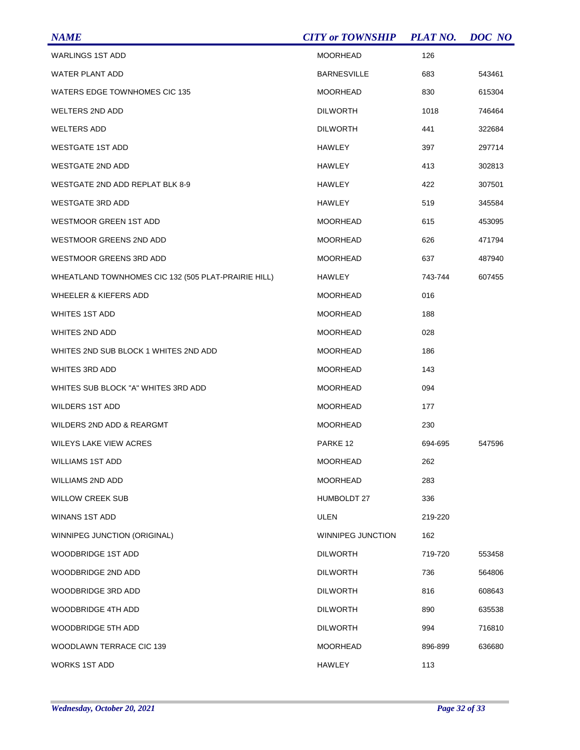| <b>NAME</b>                                         | <b>CITY or TOWNSHIP</b> | <b>PLAT NO.</b> | DOC NO |
|-----------------------------------------------------|-------------------------|-----------------|--------|
| <b>WARLINGS 1ST ADD</b>                             | <b>MOORHEAD</b>         | 126             |        |
| <b>WATER PLANT ADD</b>                              | <b>BARNESVILLE</b>      | 683             | 543461 |
| <b>WATERS EDGE TOWNHOMES CIC 135</b>                | <b>MOORHEAD</b>         | 830             | 615304 |
| <b>WELTERS 2ND ADD</b>                              | <b>DILWORTH</b>         | 1018            | 746464 |
| <b>WELTERS ADD</b>                                  | <b>DILWORTH</b>         | 441             | 322684 |
| <b>WESTGATE 1ST ADD</b>                             | <b>HAWLEY</b>           | 397             | 297714 |
| <b>WESTGATE 2ND ADD</b>                             | HAWLEY                  | 413             | 302813 |
| WESTGATE 2ND ADD REPLAT BLK 8-9                     | HAWLEY                  | 422             | 307501 |
| <b>WESTGATE 3RD ADD</b>                             | <b>HAWLEY</b>           | 519             | 345584 |
| <b>WESTMOOR GREEN 1ST ADD</b>                       | <b>MOORHEAD</b>         | 615             | 453095 |
| WESTMOOR GREENS 2ND ADD                             | <b>MOORHEAD</b>         | 626             | 471794 |
| <b>WESTMOOR GREENS 3RD ADD</b>                      | <b>MOORHEAD</b>         | 637             | 487940 |
| WHEATLAND TOWNHOMES CIC 132 (505 PLAT-PRAIRIE HILL) | HAWLEY                  | 743-744         | 607455 |
| <b>WHEELER &amp; KIEFERS ADD</b>                    | <b>MOORHEAD</b>         | 016             |        |
| <b>WHITES 1ST ADD</b>                               | <b>MOORHEAD</b>         | 188             |        |
| WHITES 2ND ADD                                      | <b>MOORHEAD</b>         | 028             |        |
| WHITES 2ND SUB BLOCK 1 WHITES 2ND ADD               | <b>MOORHEAD</b>         | 186             |        |
| <b>WHITES 3RD ADD</b>                               | <b>MOORHEAD</b>         | 143             |        |
| WHITES SUB BLOCK "A" WHITES 3RD ADD                 | <b>MOORHEAD</b>         | 094             |        |
| <b>WILDERS 1ST ADD</b>                              | <b>MOORHEAD</b>         | 177             |        |
| WILDERS 2ND ADD & REARGMT                           | <b>MOORHEAD</b>         | 230             |        |
| <b>WILEYS LAKE VIEW ACRES</b>                       | PARKE 12                | 694-695         | 547596 |
| <b>WILLIAMS 1ST ADD</b>                             | <b>MOORHEAD</b>         | 262             |        |
| WILLIAMS 2ND ADD                                    | <b>MOORHEAD</b>         | 283             |        |
| <b>WILLOW CREEK SUB</b>                             | <b>HUMBOLDT 27</b>      | 336             |        |
| <b>WINANS 1ST ADD</b>                               | ULEN                    | 219-220         |        |
| WINNIPEG JUNCTION (ORIGINAL)                        | WINNIPEG JUNCTION       | 162             |        |
| <b>WOODBRIDGE 1ST ADD</b>                           | <b>DILWORTH</b>         | 719-720         | 553458 |
| WOODBRIDGE 2ND ADD                                  | <b>DILWORTH</b>         | 736             | 564806 |
| WOODBRIDGE 3RD ADD                                  | <b>DILWORTH</b>         | 816             | 608643 |
| WOODBRIDGE 4TH ADD                                  | <b>DILWORTH</b>         | 890             | 635538 |
| <b>WOODBRIDGE 5TH ADD</b>                           | <b>DILWORTH</b>         | 994             | 716810 |
| WOODLAWN TERRACE CIC 139                            | <b>MOORHEAD</b>         | 896-899         | 636680 |
| <b>WORKS 1ST ADD</b>                                | <b>HAWLEY</b>           | 113             |        |